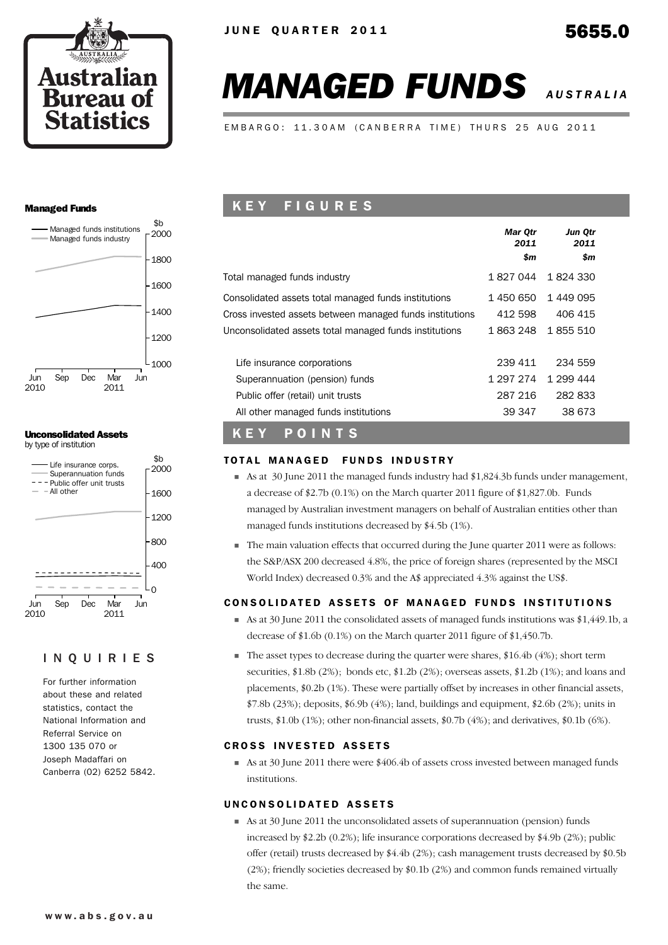

# *MANAGED FUNDS AUSTRALIA*

EMBARGO: 11.30AM (CANBERRA TIME) THURS 25 AUG 2011

#### Managed Funds



#### Unconsolidated Assets by type of institution



#### INQUIRIES

For further information about these and related statistics, contact the National Information and Referral Service on 1300 135 070 or Joseph Madaffari on Canberra (02) 6252 5842.

# K E Y F I G U R E S

|                                                          | Mar Otr<br>2011<br>\$m | Jun Qtr<br>2011<br>\$m |  |
|----------------------------------------------------------|------------------------|------------------------|--|
| Total managed funds industry                             | 1 827 044              | 1 824 330              |  |
| Consolidated assets total managed funds institutions     | 1 450 650              | 1449095                |  |
| Cross invested assets between managed funds institutions | 412 598                | 406 415                |  |
| Unconsolidated assets total managed funds institutions   | 1 863 248              | 1855510                |  |
| Life insurance corporations                              | 239 411                | 234 559                |  |
| Superannuation (pension) funds                           | 1 297 274              | 1 299 444              |  |
| Public offer (retail) unit trusts                        | 287 216                | 282833                 |  |
| All other managed funds institutions                     | 39 347                 | 38 673                 |  |

#### K E Y P O I N T S

#### TOTAL MANAGED FUNDS INDUSTRY

- $\blacksquare$  As at 30 June 2011 the managed funds industry had \$1,824.3b funds under management. a decrease of \$2.7b (0.1%) on the March quarter 2011 figure of \$1,827.0b. Funds managed by Australian investment managers on behalf of Australian entities other than managed funds institutions decreased by \$4.5b (1%).
- ! The main valuation effects that occurred during the June quarter 2011 were as follows: the S&P/ASX 200 decreased 4.8%, the price of foreign shares (represented by the MSCI World Index) decreased 0.3% and the A\$ appreciated 4.3% against the US\$.

#### CONSOLIDATED ASSETS OF MANAGED FUNDS INSTITUTIONS

- ! As at 30 June 2011 the consolidated assets of managed funds institutions was \$1,449.1b, a decrease of \$1.6b (0.1%) on the March quarter 2011 figure of \$1,450.7b.
- ! The asset types to decrease during the quarter were shares, \$16.4b (4%); short term securities, \$1.8b (2%); bonds etc, \$1.2b (2%); overseas assets, \$1.2b (1%); and loans and placements, \$0.2b (1%). These were partially offset by increases in other financial assets,  $$7.8b (23%)$ ; deposits,  $$6.9b (4%)$ ; land, buildings and equipment,  $$2.6b (2%)$ ; units in trusts,  $$1.0b (1%)$ ; other non-financial assets,  $$0.7b (4%)$ ; and derivatives,  $$0.1b (6%)$ .

#### **CROSS INVESTED ASSETS**

! As at 30 June 2011 there were \$406.4b of assets cross invested between managed funds institutions.

#### UNCONSOLIDATED ASSETS

! As at 30 June 2011 the unconsolidated assets of superannuation (pension) funds increased by \$2.2b (0.2%); life insurance corporations decreased by \$4.9b (2%); public offer (retail) trusts decreased by \$4.4b (2%); cash management trusts decreased by \$0.5b (2%); friendly societies decreased by \$0.1b (2%) and common funds remained virtually the same.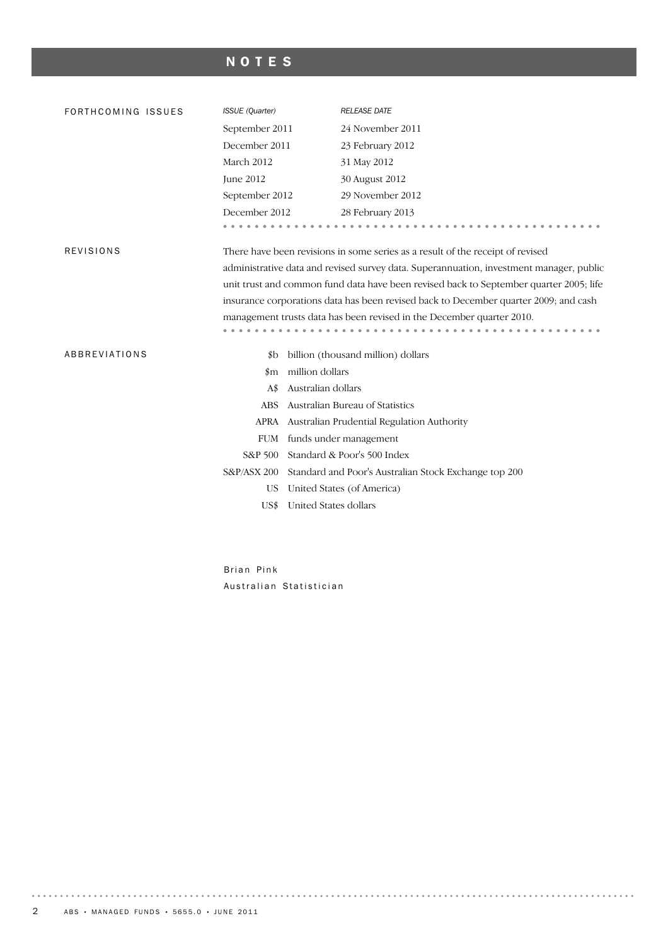# NOTES

| FORTHCOMING ISSUES | ISSUE (Quarter)        |                       | <b>RELEASE DATE</b>                                                                     |
|--------------------|------------------------|-----------------------|-----------------------------------------------------------------------------------------|
|                    | September 2011         |                       | 24 November 2011                                                                        |
|                    | December 2011          |                       | 23 February 2012                                                                        |
|                    | March 2012             |                       | 31 May 2012                                                                             |
|                    | <b>June 2012</b>       |                       | 30 August 2012                                                                          |
|                    | September 2012         |                       | 29 November 2012                                                                        |
|                    | December 2012          |                       | 28 February 2013                                                                        |
|                    |                        |                       |                                                                                         |
| <b>REVISIONS</b>   |                        |                       | There have been revisions in some series as a result of the receipt of revised          |
|                    |                        |                       | administrative data and revised survey data. Superannuation, investment manager, public |
|                    |                        |                       | unit trust and common fund data have been revised back to September quarter 2005; life  |
|                    |                        |                       | insurance corporations data has been revised back to December quarter 2009; and cash    |
|                    |                        |                       | management trusts data has been revised in the December quarter 2010.                   |
|                    |                        |                       |                                                                                         |
| ABBREVIATIONS      | \$b                    |                       | billion (thousand million) dollars                                                      |
|                    | $_{\rm sm}$            | million dollars       |                                                                                         |
|                    | A\$                    | Australian dollars    |                                                                                         |
|                    | <b>ABS</b>             |                       | Australian Bureau of Statistics                                                         |
|                    | APRA                   |                       | Australian Prudential Regulation Authority                                              |
|                    | <b>FUM</b>             |                       | funds under management                                                                  |
|                    | S&P 500                |                       | Standard & Poor's 500 Index                                                             |
|                    | <b>S&amp;P/ASX 200</b> |                       | Standard and Poor's Australian Stock Exchange top 200                                   |
|                    | US                     |                       | United States (of America)                                                              |
|                    | US\$                   | United States dollars |                                                                                         |
|                    |                        |                       |                                                                                         |

Brian Pink Australian Statistician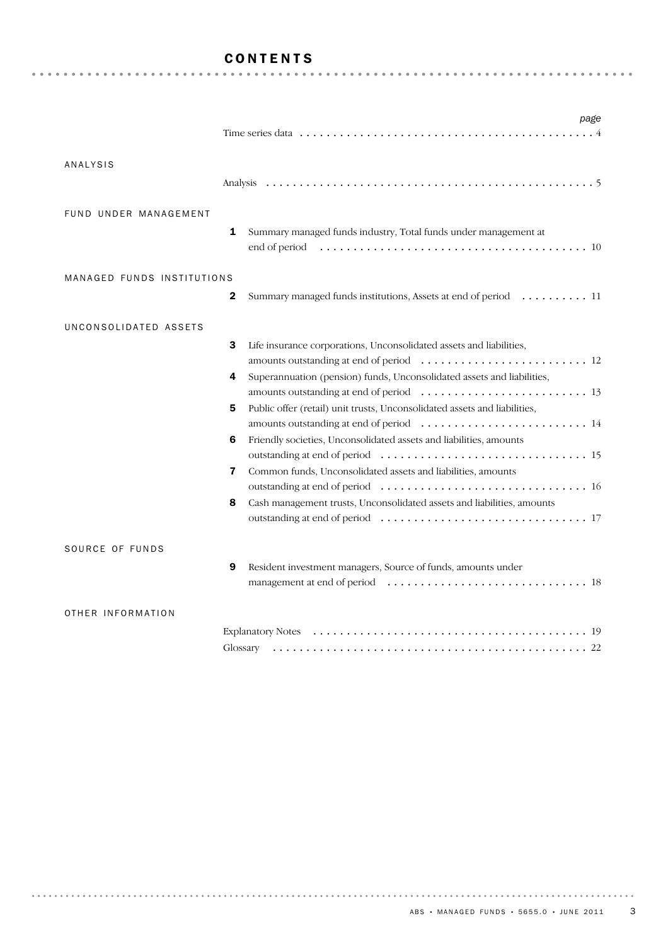# CONTENTS

|                            | page                                                                           |
|----------------------------|--------------------------------------------------------------------------------|
| <b>ANALYSIS</b>            |                                                                                |
| FUND UNDER MANAGEMENT      | 1<br>Summary managed funds industry, Total funds under management at           |
|                            |                                                                                |
| MANAGED FUNDS INSTITUTIONS |                                                                                |
|                            | 2<br>Summary managed funds institutions, Assets at end of period  11           |
| UNCONSOLIDATED ASSETS      |                                                                                |
|                            | З<br>Life insurance corporations, Unconsolidated assets and liabilities,       |
|                            | Superannuation (pension) funds, Unconsolidated assets and liabilities,<br>4    |
|                            | Public offer (retail) unit trusts, Unconsolidated assets and liabilities,<br>5 |
|                            | Friendly societies, Unconsolidated assets and liabilities, amounts<br>6        |
|                            |                                                                                |
|                            | Common funds, Unconsolidated assets and liabilities, amounts<br>7              |
|                            | 8<br>Cash management trusts, Unconsolidated assets and liabilities, amounts    |
| SOURCE OF FUNDS            |                                                                                |
|                            | 9<br>Resident investment managers, Source of funds, amounts under              |
|                            |                                                                                |
| OTHER INFORMATION          |                                                                                |
|                            |                                                                                |
|                            | Glossarv                                                                       |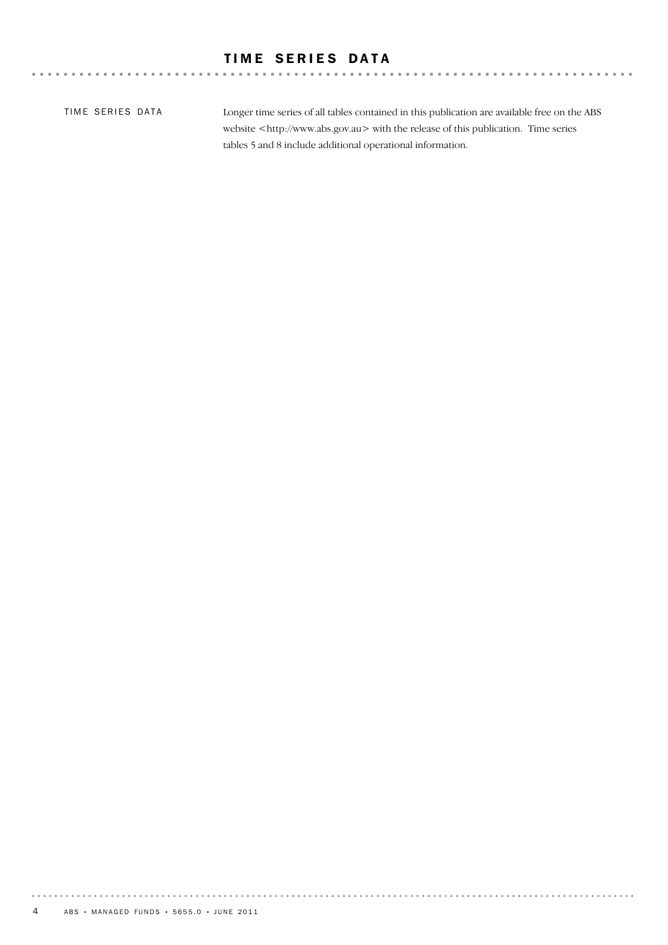# TIME SERIES DATA

 $\sim$ 

 $\alpha$ 

TIME SERIES DATA

Longer time series of all tables contained in this publication are available free on the ABS website <http://www.abs.gov.au> with the release of this publication. Time series tables 5 and 8 include additional operational information.

 $\Delta$  $\Delta$ 

. . . . . . . . . . . . .

. . . . . . . . . .

. . . . . . . . .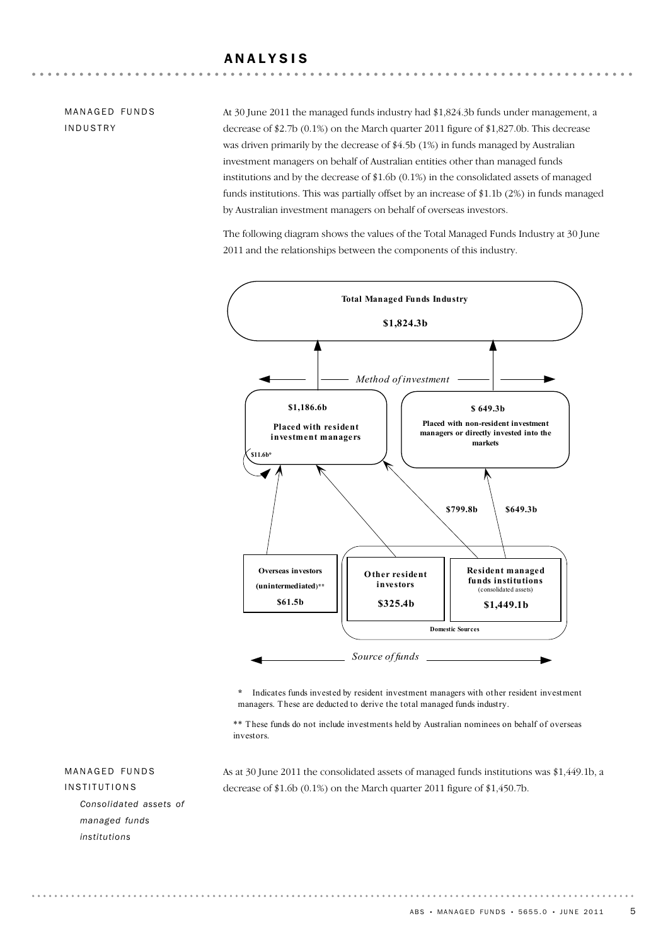# ANALYSIS

# MANAGED FUNDS INDUSTRY

At 30 June 2011 the managed funds industry had \$1,824.3b funds under management, a decrease of \$2.7b (0.1%) on the March quarter 2011 figure of \$1,827.0b. This decrease was driven primarily by the decrease of \$4.5b (1%) in funds managed by Australian investment managers on behalf of Australian entities other than managed funds institutions and by the decrease of \$1.6b (0.1%) in the consolidated assets of managed funds institutions. This was partially offset by an increase of \$1.1b (2%) in funds managed by Australian investment managers on behalf of overseas investors.

The following diagram shows the values of the Total Managed Funds Industry at 30 June 2011 and the relationships between the components of this industry.



**\*** Indicates funds invested by resident investment managers with other resident investment managers. T hese are deducted to derive the total managed funds industry.

\*\* T hese funds do not include investments held by Australian nominees on behalf of overseas investors.

MANAGED FUNDS INSTITUTIONS *Consolidated assets of managed funds institutions*

As at 30 June 2011 the consolidated assets of managed funds institutions was \$1,449.1b, a decrease of \$1.6b (0.1%) on the March quarter 2011 figure of \$1,450.7b.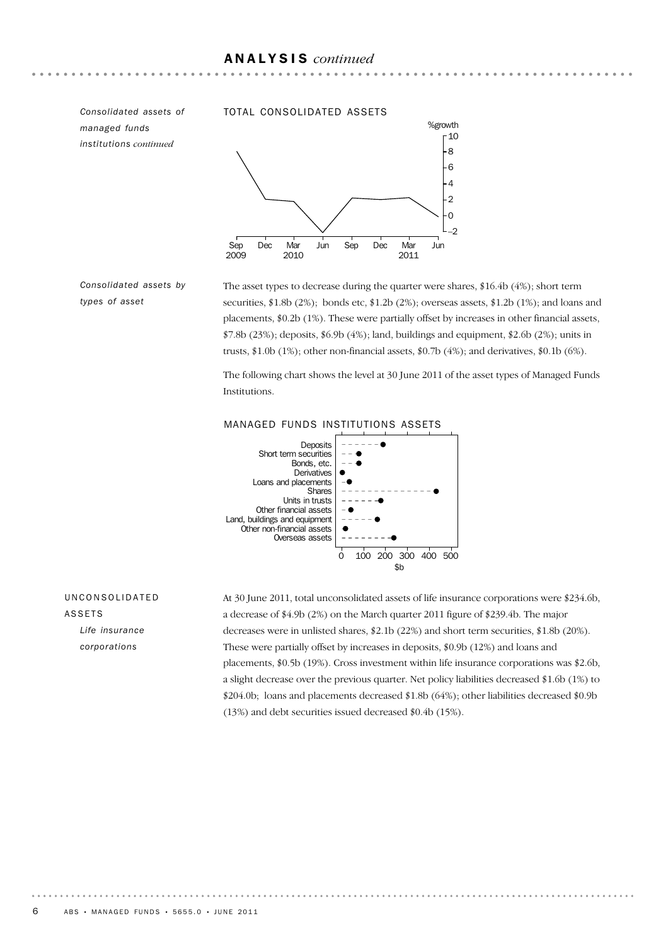*managed funds institutions continued*

#### *Consolidated assets of* TOTAL CONSOLIDATED ASSETS



*Consolidated assets by types of asset*

The asset types to decrease during the quarter were shares, \$16.4b (4%); short term securities, \$1.8b (2%); bonds etc, \$1.2b (2%); overseas assets, \$1.2b (1%); and loans and placements, \$0.2b (1%). These were partially offset by increases in other financial assets, \$7.8b (23%); deposits, \$6.9b (4%); land, buildings and equipment, \$2.6b (2%); units in trusts, \$1.0b (1%); other non-financial assets, \$0.7b (4%); and derivatives, \$0.1b (6%).

The following chart shows the level at 30 June 2011 of the asset types of Managed Funds Institutions.



#### MANAGED FUNDS INSTITUTIONS ASSETS

UNCONSOLIDATED ASSETS *Life insurance corporations*

At 30 June 2011, total unconsolidated assets of life insurance corporations were \$234.6b, a decrease of \$4.9b (2%) on the March quarter 2011 figure of \$239.4b. The major decreases were in unlisted shares, \$2.1b (22%) and short term securities, \$1.8b (20%). These were partially offset by increases in deposits, \$0.9b (12%) and loans and placements, \$0.5b (19%). Cross investment within life insurance corporations was \$2.6b, a slight decrease over the previous quarter. Net policy liabilities decreased \$1.6b (1%) to \$204.0b; loans and placements decreased \$1.8b (64%); other liabilities decreased \$0.9b (13%) and debt securities issued decreased \$0.4b (15%).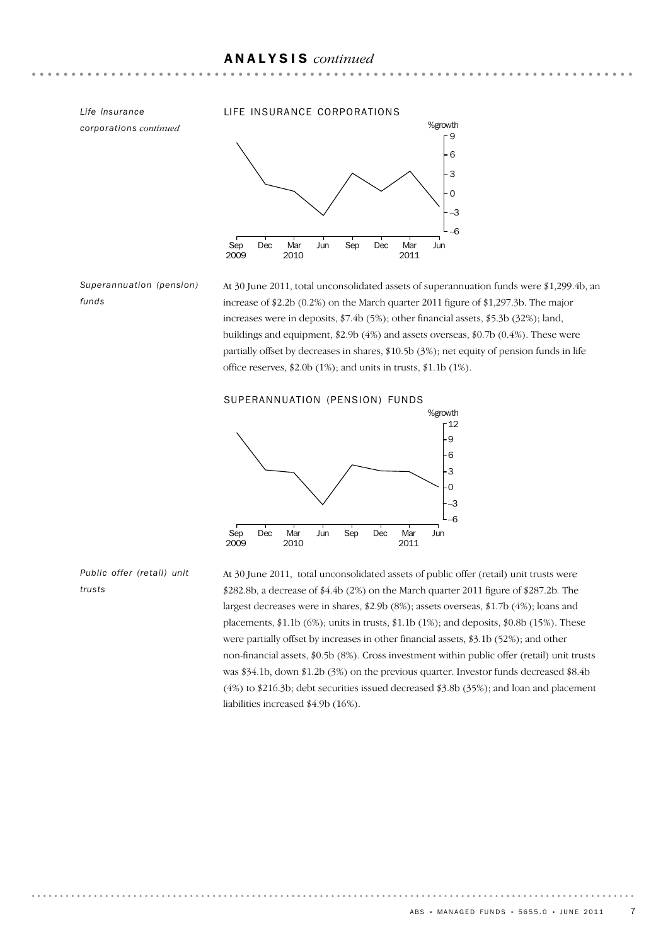*corporations continued*

#### *Life insurance* LIFE INSURANCE CORPORATIONS



*Superannuation (pension) funds*

At 30 June 2011, total unconsolidated assets of superannuation funds were \$1,299.4b, an increase of \$2.2b (0.2%) on the March quarter 2011 figure of \$1,297.3b. The major increases were in deposits, \$7.4b (5%); other financial assets, \$5.3b (32%); land, buildings and equipment, \$2.9b (4%) and assets overseas, \$0.7b (0.4%). These were partially offset by decreases in shares, \$10.5b (3%); net equity of pension funds in life office reserves, \$2.0b (1%); and units in trusts, \$1.1b (1%).

#### SUPERANNUATION (PENSION) FUNDS



*Public offer (retail) unit trusts*

At 30 June 2011, total unconsolidated assets of public offer (retail) unit trusts were \$282.8b, a decrease of \$4.4b (2%) on the March quarter 2011 figure of \$287.2b. The largest decreases were in shares, \$2.9b (8%); assets overseas, \$1.7b (4%); loans and placements, \$1.1b (6%); units in trusts, \$1.1b (1%); and deposits, \$0.8b (15%). These were partially offset by increases in other financial assets, \$3.1b (52%); and other non-financial assets, \$0.5b (8%). Cross investment within public offer (retail) unit trusts was \$34.1b, down \$1.2b (3%) on the previous quarter. Investor funds decreased \$8.4b (4%) to \$216.3b; debt securities issued decreased \$3.8b (35%); and loan and placement liabilities increased \$4.9b (16%).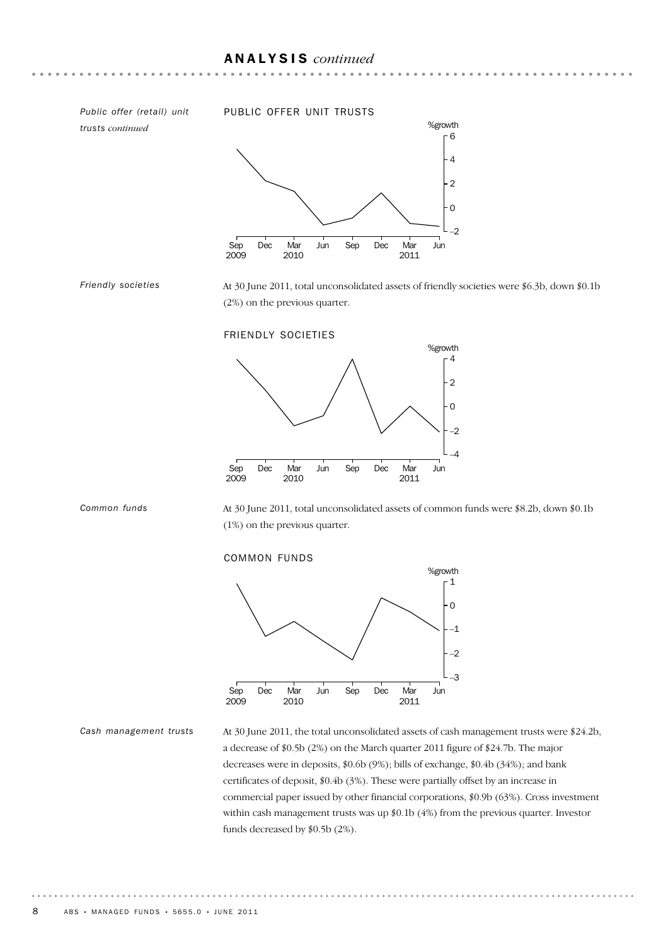*trusts continued*

*Friendly societies*

#### *Public offer (retail) unit* PUBLIC OFFER UNIT TRUSTS



At 30 June 2011, total unconsolidated assets of friendly societies were \$6.3b, down \$0.1b (2%) on the previous quarter.

FRIENDLY SOCIETIES





At 30 June 2011, total unconsolidated assets of common funds were \$8.2b, down \$0.1b (1%) on the previous quarter.

#### COMMON FUNDS



*Cash management trusts*

At 30 June 2011, the total unconsolidated assets of cash management trusts were \$24.2b, a decrease of \$0.5b (2%) on the March quarter 2011 figure of \$24.7b. The major decreases were in deposits, \$0.6b (9%); bills of exchange, \$0.4b (34%); and bank certificates of deposit, \$0.4b (3%). These were partially offset by an increase in commercial paper issued by other financial corporations, \$0.9b (63%). Cross investment within cash management trusts was up \$0.1b (4%) from the previous quarter. Investor funds decreased by \$0.5b (2%).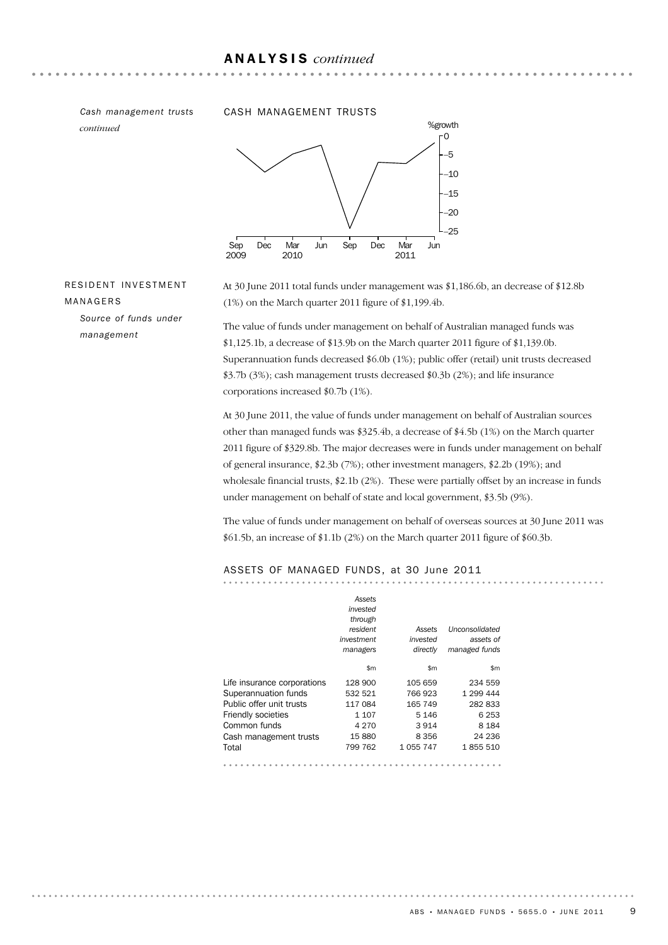*continued*

#### *Cash management trusts* CASH MANAGEMENT TRUSTS



# RESIDENT INVESTMENT MANAGERS

*Source of funds under management*

At 30 June 2011 total funds under management was \$1,186.6b, an decrease of \$12.8b (1%) on the March quarter 2011 figure of \$1,199.4b.

The value of funds under management on behalf of Australian managed funds was \$1,125.1b, a decrease of \$13.9b on the March quarter 2011 figure of \$1,139.0b. Superannuation funds decreased \$6.0b (1%); public offer (retail) unit trusts decreased \$3.7b (3%); cash management trusts decreased \$0.3b (2%); and life insurance corporations increased \$0.7b (1%).

At 30 June 2011, the value of funds under management on behalf of Australian sources other than managed funds was \$325.4b, a decrease of \$4.5b (1%) on the March quarter 2011 figure of \$329.8b. The major decreases were in funds under management on behalf of general insurance, \$2.3b (7%); other investment managers, \$2.2b (19%); and wholesale financial trusts, \$2.1b (2%). These were partially offset by an increase in funds under management on behalf of state and local government, \$3.5b (9%).

The value of funds under management on behalf of overseas sources at 30 June 2011 was \$61.5b, an increase of \$1.1b (2%) on the March quarter 2011 figure of \$60.3b.

#### ASSETS OF MANAGED FUNDS, at 30 June 2011

|                             | Assets<br>invested<br>through<br>resident<br>investment | Assets<br>invested | Unconsolidated<br>assets of |
|-----------------------------|---------------------------------------------------------|--------------------|-----------------------------|
|                             | managers                                                | directly           | managed funds               |
|                             |                                                         |                    |                             |
|                             | \$m                                                     | \$m                | \$m                         |
| Life insurance corporations | 128 900                                                 | 105 659            | 234 559                     |
| Superannuation funds        | 532 521                                                 | 766923             | 1 299 444                   |
| Public offer unit trusts    | 117 084                                                 | 165 749            | 282833                      |
| <b>Friendly societies</b>   | 1 107                                                   | 5 1 4 6            | 6 253                       |
| Common funds                | 4 2 7 0                                                 | 3914               | 8 1 8 4                     |
| Cash management trusts      | 15880                                                   | 8 3 5 6            | 24 236                      |
| Total                       | 799 762                                                 | 1 0 5 7 4 7        | 1855510                     |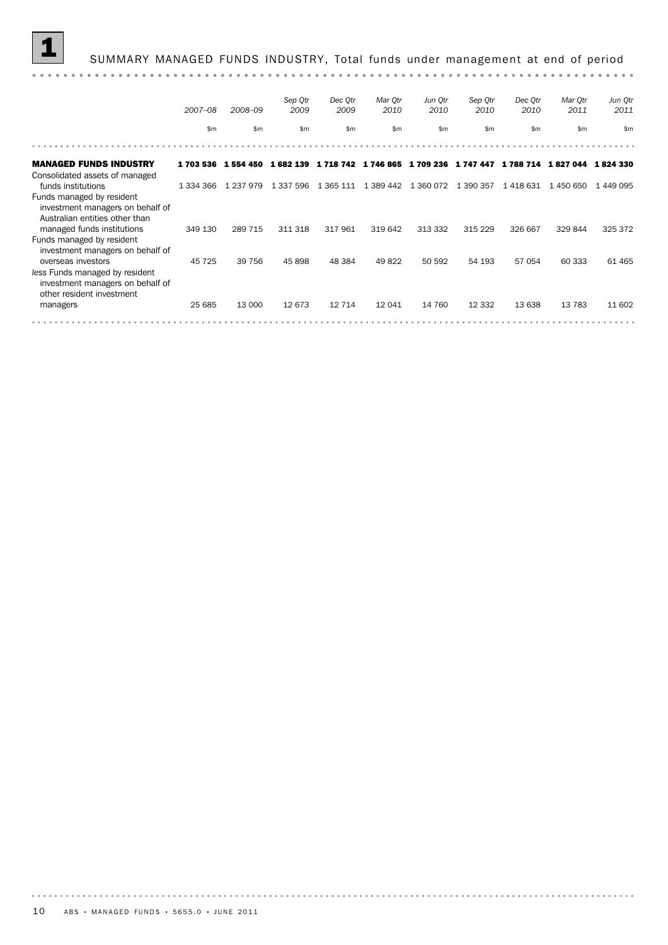

|                                                                                                                       | $2007 - 08$ | 2008-09           | Sep Qtr<br>2009 | Dec Qtr<br>2009            | Mar Otr<br>2010 | Jun Qtr<br>2010 | Sep Qtr<br>2010 | Dec Qtr<br>2010 | Mar Otr<br>2011 | Jun Qtr<br>2011 |
|-----------------------------------------------------------------------------------------------------------------------|-------------|-------------------|-----------------|----------------------------|-----------------|-----------------|-----------------|-----------------|-----------------|-----------------|
|                                                                                                                       | \$m\$       | \$m\$             | \$m             | \$m\$                      | \$m             | $\mathsf{Sm}$   | \$m\$           | $\mathsf{Sm}$   | \$m             | \$m             |
|                                                                                                                       |             |                   |                 |                            |                 |                 |                 |                 |                 |                 |
| <b>MANAGED FUNDS INDUSTRY</b><br>Consolidated assets of managed                                                       |             | 1703 536 1554 450 |                 | 1682 139 1718 742 1746 865 |                 | 1709 236        | 1 747 447       | 1 788 714       | 1827044 1824330 |                 |
| funds institutions<br>Funds managed by resident<br>investment managers on behalf of<br>Australian entities other than | 1 334 366   | 1 237 979         | 1 337 596       | 1 365 111                  | 1 389 442       | 1 360 072       | 1 390 357       | 1418631         | 1450650         | 1449095         |
| managed funds institutions<br>Funds managed by resident<br>investment managers on behalf of                           | 349 130     | 289 715           | 311 318         | 317961                     | 319 642         | 313 332         | 315 229         | 326 667         | 329 844         | 325 372         |
| overseas investors<br>less Funds managed by resident<br>investment managers on behalf of<br>other resident investment | 45 7 25     | 39 756            | 45898           | 48 384                     | 49822           | 50 592          | 54 193          | 57 054          | 60 333          | 61 465          |
| managers                                                                                                              | 25 685      | 13 000            | 12 673          | 12 7 14                    | 12 041          | 14 760          | 12 3 32         | 13 638          | 13 783          | 11 602          |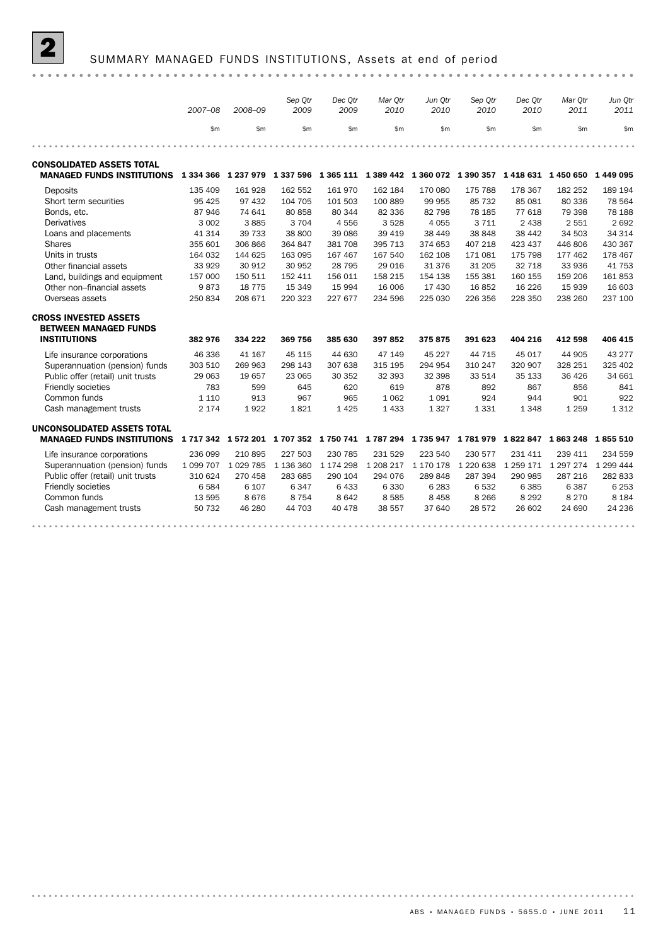# SUMMARY MANAGED FUNDS INSTITUTIONS, Assets at end of period

|                                   |         |                     | Sep Otr                       | Dec Otr   | Mar Otr   | Jun Otr   | Sep Otr       | Dec Otr                                                                                             | Mar Otr             | Jun Otr   |
|-----------------------------------|---------|---------------------|-------------------------------|-----------|-----------|-----------|---------------|-----------------------------------------------------------------------------------------------------|---------------------|-----------|
|                                   | 2007-08 | 2008-09             | 2009                          | 2009      | 2010      | 2010      | 2010          | 2010                                                                                                | 2011                | 2011      |
|                                   | \$m\$   | \$m\$               | \$m\$                         | \$m\$     | \$m\$     | \$m\$     | \$m\$         | \$m\$                                                                                               | \$m                 | \$m\$     |
|                                   |         |                     |                               |           |           |           |               |                                                                                                     |                     |           |
| <b>CONSOLIDATED ASSETS TOTAL</b>  |         |                     |                               |           |           |           |               |                                                                                                     |                     |           |
| <b>MANAGED FUNDS INSTITUTIONS</b> |         |                     | 1 334 366 1 237 979 1 337 596 |           |           |           |               | 1 365 111 1 389 442 1 360 072 1 390 357 1 418 631 1 450 650 1 449 095                               |                     |           |
| Deposits                          | 135 409 | 161 928             | 162 552                       | 161 970   | 162 184   | 170 080   | 175 788       | 178 367                                                                                             | 182 252             | 189 194   |
| Short term securities             | 95 4 25 | 97 432              | 104 705                       | 101 503   | 100 889   | 99 955    | 85 732        | 85 081                                                                                              | 80 336              | 78 564    |
| Bonds, etc.                       | 87946   | 74 641              | 80 858                        | 80 344    | 82 336    | 82 798    | 78 185        | 77 618                                                                                              | 79 398              | 78 188    |
| <b>Derivatives</b>                | 3 0 0 2 | 3885                | 3 7 0 4                       | 4556      | 3528      | 4 0 5 5   | 3 7 1 1       | 2 4 3 8                                                                                             | 2 5 5 1             | 2692      |
| Loans and placements              | 41 314  | 39 733              | 38 800                        | 39 086    | 39 419    | 38 449    | 38 848        | 38 442                                                                                              | 34 503              | 34 314    |
| <b>Shares</b>                     | 355 601 | 306 866             | 364 847                       | 381 708   | 395 713   | 374 653   | 407 218       | 423 437                                                                                             | 446 806             | 430 367   |
| Units in trusts                   | 164 032 | 144 625             | 163 095                       | 167 467   | 167 540   | 162 108   | 171 081       | 175 798                                                                                             | 177 462             | 178 467   |
| Other financial assets            | 33 929  | 30 912              | 30 952                        | 28 795    | 29 0 16   | 31 376    | 31 205        | 32 718                                                                                              | 33 936              | 41 753    |
| Land, buildings and equipment     | 157 000 | 150 511             | 152 411                       | 156 011   | 158 215   | 154 138   | 155 381       | 160 155                                                                                             | 159 206             | 161 853   |
| Other non-financial assets        | 9873    | 18 7 7 5            | 15 349                        | 15 994    | 16 006    | 17 430    | 16852         | 16 2 26                                                                                             | 15 939              | 16 603    |
| Overseas assets                   | 250 834 | 208 671             | 220 323                       | 227 677   | 234 596   | 225 030   | 226 356       | 228 350                                                                                             | 238 260             | 237 100   |
| <b>CROSS INVESTED ASSETS</b>      |         |                     |                               |           |           |           |               |                                                                                                     |                     |           |
| <b>BETWEEN MANAGED FUNDS</b>      |         |                     |                               |           |           |           |               |                                                                                                     |                     |           |
| <b>INSTITUTIONS</b>               | 382 976 | 334 222             | 369 756                       | 385 630   | 397852    | 375875    | 391 623       | 404 216                                                                                             | 412 598             | 406 415   |
| Life insurance corporations       | 46 336  | 41 167              | 45 115                        | 44 630    | 47 149    | 45 227    | 44 715        | 45 017                                                                                              | 44 905              | 43 277    |
| Superannuation (pension) funds    | 303 510 | 269 963             | 298 143                       | 307 638   | 315 195   | 294 954   | 310 247       | 320 907                                                                                             | 328 251             | 325 402   |
| Public offer (retail) unit trusts | 29 063  | 19 657              | 23 065                        | 30 352    | 32 393    | 32 398    | 33 514        | 35 133                                                                                              | 36 4 26             | 34 661    |
| Friendly societies                | 783     | 599                 | 645                           | 620       | 619       | 878       | 892           | 867                                                                                                 | 856                 | 841       |
| Common funds                      | 1 1 1 0 | 913                 | 967                           | 965       | 1 0 6 2   | 1091      | 924           | 944                                                                                                 | 901                 | 922       |
| Cash management trusts            | 2 1 7 4 | 1922                | 1821                          | 1 4 2 5   | 1433      | 1 3 2 7   | 1 3 3 1       | 1 3 4 8                                                                                             | 1 2 5 9             | 1 3 1 2   |
| UNCONSOLIDATED ASSETS TOTAL       |         |                     |                               |           |           |           |               |                                                                                                     |                     |           |
| <b>MANAGED FUNDS INSTITUTIONS</b> |         |                     |                               |           |           |           |               | 1 717 342 1 572 201 1 707 352 1 750 741 1 787 294 1 735 947 1 781 979 1 822 847 1 863 248 1 855 510 |                     |           |
| Life insurance corporations       | 236 099 | 210 895             | 227 503                       | 230 785   | 231 529   | 223 540   | 230 577       | 231 411                                                                                             | 239 411             | 234 559   |
| Superannuation (pension) funds    |         | 1 099 707 1 029 785 | 1 136 360                     | 1 174 298 | 1 208 217 | 1 170 178 | 1 2 2 0 6 3 8 |                                                                                                     | 1 259 171 1 297 274 | 1 299 444 |
| Public offer (retail) unit trusts | 310 624 | 270 458             | 283 685                       | 290 104   | 294 076   | 289 848   | 287 394       | 290 985                                                                                             | 287 216             | 282 833   |
| Friendly societies                | 6584    | 6 107               | 6347                          | 6433      | 6 3 3 0   | 6 2 8 3   | 6532          | 6 3 8 5                                                                                             | 6387                | 6 2 5 3   |
| Common funds                      | 13 595  | 8676                | 8 7 5 4                       | 8642      | 8585      | 8 4 5 8   | 8 2 6 6       | 8 2 9 2                                                                                             | 8 2 7 0             | 8 1 8 4   |
| Cash management trusts            | 50 732  | 46 280              | 44 703                        | 40 478    | 38 557    | 37 640    | 28 572        | 26 602                                                                                              | 24 690              | 24 236    |
|                                   |         |                     |                               |           |           |           |               |                                                                                                     |                     |           |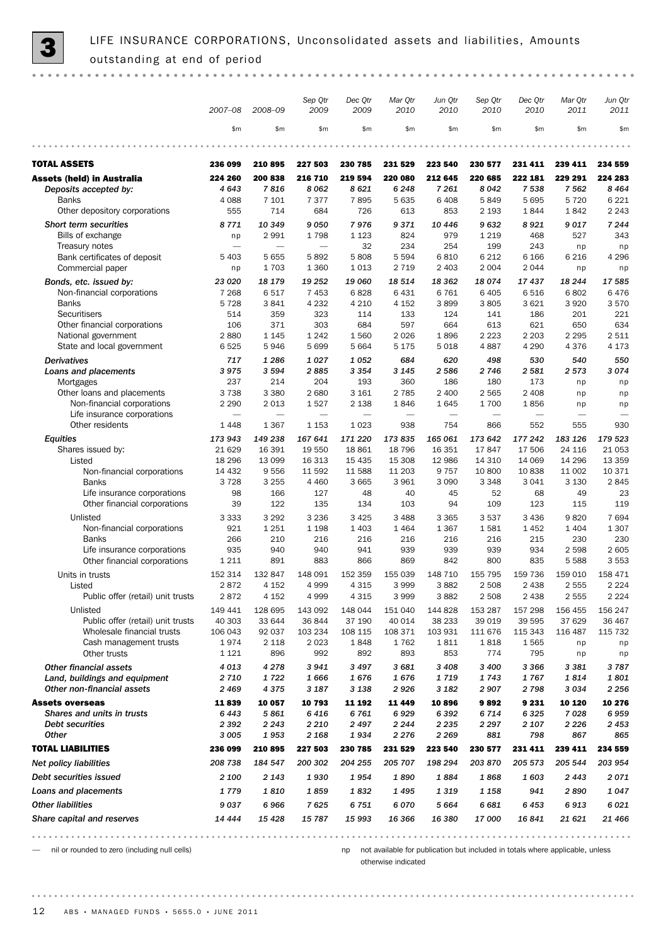|                                                                 | 2007-08                          | 2008-09                             | Sep Qtr<br>2009    | Dec Qtr<br>2009                     | Mar Qtr<br>2010                 | Jun Qtr<br>2010                 | Sep Qtr<br>2010    | Dec Qtr<br>2010                 | Mar Qtr<br>2011   | Jun Qtr<br>2011   |
|-----------------------------------------------------------------|----------------------------------|-------------------------------------|--------------------|-------------------------------------|---------------------------------|---------------------------------|--------------------|---------------------------------|-------------------|-------------------|
|                                                                 | \$m\$                            | \$m\$                               | \$m                | \$m\$                               | \$m\$                           | \$m                             | \$m                | \$m\$                           | \$m               | \$m               |
|                                                                 |                                  |                                     |                    |                                     |                                 |                                 |                    |                                 |                   |                   |
| <b>TOTAL ASSETS</b>                                             | 236 099                          | 210 895                             | 227 503            | 230 785                             | 231 529                         | 223 540                         | 230 577            | 231 411                         | 239 411           | 234 559           |
| <b>Assets (held) in Australia</b>                               | 224 260                          | 200 838                             | 216 710            | 219 594                             | 220 080                         | 212 645                         | 220 685            | 222 181                         | 229 291           | 224 283           |
| Deposits accepted by:                                           | 4 6 4 3                          | 7816                                | 8062               | 8621                                | 6 2 4 8                         | 7 2 6 1                         | 8042               | 7 5 3 8                         | 7 5 6 2           | 8 4 6 4           |
| <b>Banks</b>                                                    | 4 0 8 8                          | 7 1 0 1                             | 7377               | 7895                                | 5 6 3 5                         | 6 4 0 8                         | 5849               | 5 6 9 5                         | 5 7 2 0           | 6 2 2 1           |
| Other depository corporations                                   | 555                              | 714                                 | 684                | 726                                 | 613                             | 853                             | 2 1 9 3            | 1844                            | 1842              | 2 2 4 3           |
| Short term securities                                           | 8771                             | 10 349                              | 9050               | 7976                                | 9371                            | 10 446                          | 9632               | 8921                            | 9017              | 7 2 4 4           |
| Bills of exchange                                               | np                               | 2991                                | 1798               | 1 1 2 3                             | 824                             | 979                             | 1 2 1 9            | 468                             | 527               | 343               |
| Treasury notes<br>Bank certificates of deposit                  |                                  |                                     |                    | 32                                  | 234                             | 254                             | 199                | 243                             | np                | np                |
| Commercial paper                                                | 5 4 0 3<br>np                    | 5 6 5 5<br>1703                     | 5892<br>1 3 6 0    | 5808<br>1 0 1 3                     | 5 5 9 4<br>2 7 1 9              | 6810<br>2 4 0 3                 | 6 2 1 2<br>2 0 0 4 | 6 1 6 6<br>2 0 4 4              | 6 2 1 6           | 4 2 9 6<br>np     |
|                                                                 |                                  |                                     |                    |                                     |                                 |                                 |                    |                                 | np                |                   |
| Bonds, etc. issued by:                                          | 23 0 20<br>7 2 6 8               | 18 179<br>6517                      | 19 25 2<br>7 4 5 3 | 19 060<br>6828                      | 18 514<br>6 4 3 1               | 18 362<br>6761                  | 18074<br>6 4 0 5   | 17437<br>6516                   | 18 244<br>6802    | 17 585<br>6476    |
| Non-financial corporations<br><b>Banks</b>                      | 5728                             | 3841                                | 4 2 3 2            | 4 2 1 0                             | 4 1 5 2                         | 3899                            | 3805               | 3 6 2 1                         | 3920              | 3570              |
| Securitisers                                                    | 514                              | 359                                 | 323                | 114                                 | 133                             | 124                             | 141                | 186                             | 201               | 221               |
| Other financial corporations                                    | 106                              | 371                                 | 303                | 684                                 | 597                             | 664                             | 613                | 621                             | 650               | 634               |
| National government                                             | 2880                             | 1 1 4 5                             | 1 2 4 2            | 1 5 6 0                             | 2 0 2 6                         | 1896                            | 2 2 2 3            | 2 2 0 3                         | 2 2 9 5           | 2 5 1 1           |
| State and local government                                      | 6525                             | 5946                                | 5 6 9 9            | 5 6 6 4                             | 5 1 7 5                         | 5018                            | 4887               | 4 2 9 0                         | 4376              | 4 1 7 3           |
| <b>Derivatives</b>                                              | 717                              | 1 2 8 6                             | 1027               | 1052                                | 684                             | 620                             | 498                | 530                             | 540               | 550               |
| Loans and placements                                            | 3975                             | 3 5 9 4                             | 2885               | 3 3 5 4                             | 3 1 4 5                         | 2586                            | 2746               | 2 5 8 1                         | 2573              | 3074              |
| Mortgages                                                       | 237                              | 214                                 | 204                | 193                                 | 360                             | 186                             | 180                | 173                             | np                | np                |
| Other loans and placements                                      | 3738                             | 3 3 8 0                             | 2680               | 3 1 6 1                             | 2 7 8 5                         | 2 400                           | 2 5 6 5            | 2 4 0 8                         | np                | np                |
| Non-financial corporations                                      | 2 2 9 0                          | 2013                                | 1527               | 2 1 3 8                             | 1846                            | 1645                            | 1700               | 1856                            | np                | np                |
| Life insurance corporations<br>Other residents                  | $\overline{\phantom{0}}$<br>1448 | $\overline{\phantom{0}}$<br>1 3 6 7 | 1 1 5 3            | $\overline{\phantom{0}}$<br>1 0 2 3 | $\overline{\phantom{0}}$<br>938 | $\overline{\phantom{0}}$<br>754 | 866                | $\overline{\phantom{0}}$<br>552 | 555               | 930               |
|                                                                 |                                  |                                     |                    |                                     |                                 |                                 |                    |                                 |                   |                   |
| <b>Equities</b><br>Shares issued by:                            | 173 943<br>21 6 29               | 149 238<br>16 391                   | 167 641<br>19 550  | 171 220<br>18 861                   | 173835<br>18 796                | 165 061<br>16 351               | 173 642<br>17847   | 177 242<br>17 506               | 183 126<br>24 116 | 179 523<br>21 053 |
| Listed                                                          | 18 29 6                          | 13 099                              | 16 3 13            | 15 4 35                             | 15 308                          | 12 986                          | 14 310             | 14 069                          | 14 29 6           | 13 359            |
| Non-financial corporations                                      | 14 4 32                          | 9556                                | 11 592             | 11 588                              | 11 203                          | 9757                            | 10 800             | 10838                           | 11 002            | 10 371            |
| <b>Banks</b>                                                    | 3728                             | 3 2 5 5                             | 4 4 6 0            | 3 6 6 5                             | 3 9 6 1                         | 3 0 9 0                         | 3 3 4 8            | 3 0 4 1                         | 3 1 3 0           | 2845              |
| Life insurance corporations                                     | 98                               | 166                                 | 127                | 48                                  | 40                              | 45                              | 52                 | 68                              | 49                | 23                |
| Other financial corporations                                    | 39                               | 122                                 | 135                | 134                                 | 103                             | 94                              | 109                | 123                             | 115               | 119               |
| Unlisted                                                        | 3 3 3 3                          | 3 2 9 2                             | 3 2 3 6            | 3 4 2 5                             | 3 4 8 8                         | 3 3 6 5                         | 3537               | 3 4 3 6                         | 9820              | 7 6 9 4           |
| Non-financial corporations                                      | 921                              | 1 2 5 1                             | 1 1 9 8            | 1 4 0 3                             | 1 4 6 4                         | 1 3 6 7                         | 1581               | 1452                            | 1 4 0 4           | 1 3 0 7           |
| <b>Banks</b>                                                    | 266                              | 210                                 | 216                | 216                                 | 216                             | 216                             | 216                | 215                             | 230               | 230               |
| Life insurance corporations                                     | 935                              | 940                                 | 940                | 941                                 | 939                             | 939                             | 939                | 934                             | 2 5 9 8           | 2 6 0 5           |
| Other financial corporations                                    | 1 2 1 1                          | 891                                 | 883                | 866                                 | 869                             | 842                             | 800                | 835                             | 5 5 8 8           | 3 5 5 3           |
| Units in trusts                                                 | 152 314                          | 132 847                             | 148 091            | 152 359                             | 155 039                         | 148 710                         | 155 795            | 159 736                         | 159 010           | 158 471           |
| Listed                                                          | 2872                             | 4 1 5 2                             | 4999               | 4 3 1 5                             | 3 9 9 9                         | 3882                            | 2 5 0 8            | 2 4 3 8                         | 2 5 5 5           | 2 2 2 4           |
| Public offer (retail) unit trusts                               | 2872                             | 4 1 5 2                             | 4999               | 4 3 1 5                             | 3 9 9 9                         | 3882                            | 2 5 0 8            | 2 4 3 8                         | 2 5 5 5           | 2 2 2 4           |
| Unlisted                                                        | 149 441                          | 128 695                             | 143 092            | 148 044                             | 151 040                         | 144 828                         | 153 287            | 157 298                         | 156 455           | 156 247           |
| Public offer (retail) unit trusts<br>Wholesale financial trusts | 40 303<br>106 043                | 33 644<br>92 037                    | 36 844<br>103 234  | 37 190<br>108 115                   | 40 014<br>108 371               | 38 233<br>103 931               | 39 019<br>111 676  | 39 595<br>115 343               | 37 629<br>116 487 | 36 467<br>115 732 |
| Cash management trusts                                          | 1974                             | 2 1 1 8                             | 2023               | 1848                                | 1762                            | 1811                            | 1818               | 1565                            | np                | np                |
| Other trusts                                                    | 1 1 2 1                          | 896                                 | 992                | 892                                 | 893                             | 853                             | 774                | 795                             | np                | np                |
| <b>Other financial assets</b>                                   | 4013                             | 4 2 7 8                             | 3941               | 3 4 9 7                             | 3681                            | 3 4 0 8                         | 3 4 0 0            | 3 3 6 6                         | 3 3 8 1           | 3787              |
| Land, buildings and equipment                                   | 2710                             | 1722                                | 1666               | 1676                                | 1676                            | 1719                            | 1743               | 1767                            | 1814              | 1801              |
| Other non-financial assets                                      | 2469                             | 4375                                | 3 1 8 7            | 3 1 3 8                             | 2926                            | 3 1 8 2                         | 2907               | 2798                            | 3 0 3 4           | 2 2 5 6           |
| <b>Assets overseas</b>                                          | 11839                            | 10 057                              | 10793              | 11 192                              | 11 449                          | 10896                           | 9892               | 9 2 3 1                         | 10 120            | 10 276            |
| Shares and units in trusts                                      | 6443                             | 5861                                | 6416               | 6761                                | 6929                            | 6392                            | 6714               | 6 3 2 5                         | 7028              | 6959              |
| Debt securities                                                 | 2 3 9 2                          | 2 2 4 3                             | 2 2 1 0            | 2497                                | 2 2 4 4                         | 2 2 3 5                         | 2 2 9 7            | 2 107                           | 2 2 2 6           | 2453              |
| <b>Other</b>                                                    | 3 0 0 5                          | 1953                                | 2 168              | 1934                                | 2 2 7 6                         | 2 2 6 9                         | 881                | 798                             | 867               | 865               |
| <b>TOTAL LIABILITIES</b>                                        | 236 099                          | 210 895                             | 227 503            | 230 785                             | 231 529                         | 223 540                         | 230 577            | 231 411                         | 239 411           | 234 559           |
| <b>Net policy liabilities</b>                                   | 208 738                          | 184 547                             | 200 302            | 204 255                             | 205 707                         | 198 294                         | 203 870            | 205 573                         | 205 544           | 203 954           |
| Debt securities issued                                          | 2 100                            | 2 1 4 3                             | 1930               | 1954                                | 1890                            | 1884                            | 1868               | 1603                            | 2 4 4 3           | 2071              |
| Loans and placements                                            | 1779                             | 1810                                | 1859               | 1832                                | 1495                            | 1319                            | 1 1 5 8            | 941                             | 2890              | 1047              |
| <b>Other liabilities</b>                                        | 9037                             | 6966                                | 7625               | 6751                                | 6070                            | 5 6 6 4                         | 6681               | 6453                            | 6913              | 6 0 2 1           |
| Share capital and reserves                                      | 14 444                           | 15 4 28                             | 15 7 8 7           | 15 993                              | 16 366                          | 16 380                          | 17 000             | 16841                           | 21 621            | 21 466            |
|                                                                 |                                  |                                     |                    |                                     |                                 |                                 |                    |                                 | .                 |                   |

— nil or rounded to zero (including null cells)

np not available for publication but included in totals where applicable, unless otherwise indicated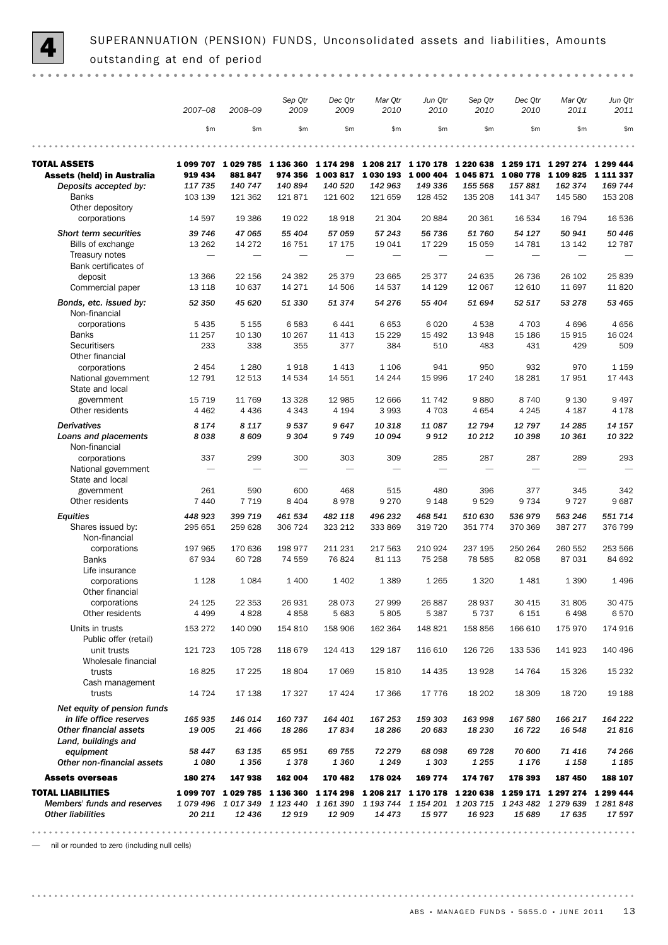

SUPERANNUATION (PENSION) FUNDS, Unconsolidated assets and liabilities, Amounts outstanding at end of period

|                                                                                     | 2007-08                         | 2008-09                          | Sep Qtr<br>2009    | Dec Qtr<br>2009                         | Mar Qtr<br>2010    | Jun Qtr<br>2010                                  | Sep Qtr<br>2010   | Dec Qtr<br>2010   | Mar Qtr<br>2011                                                                                                                                           | Jun Qtr<br>2011     |
|-------------------------------------------------------------------------------------|---------------------------------|----------------------------------|--------------------|-----------------------------------------|--------------------|--------------------------------------------------|-------------------|-------------------|-----------------------------------------------------------------------------------------------------------------------------------------------------------|---------------------|
|                                                                                     | \$m\$                           | \$m\$                            | \$m\$              | \$m\$                                   | \$m\$              | \$m                                              | \$m\$             | \$m\$             | \$m\$                                                                                                                                                     | \$m                 |
|                                                                                     |                                 |                                  |                    |                                         |                    |                                                  |                   |                   |                                                                                                                                                           |                     |
| <b>TOTAL ASSETS</b><br><b>Assets (held) in Australia</b><br>Deposits accepted by:   | 1 099 707<br>919 434<br>117 735 | 1 0 29 7 85<br>881847<br>140 747 | 974 356<br>140 894 | 1 003 817<br>140 520<br>121 602         | 142 963            | 149 336                                          | 155 568           | 157881            | 1 136 360 1 174 298 1 208 217 1 170 178 1 220 638 1 259 171 1 297 274 1 299 444<br>1 030 193 1 000 404 1 045 871 1 080 778 1 109 825 1 111 337<br>162 374 | 169 744             |
| <b>Banks</b><br>Other depository<br>corporations                                    | 103 139<br>14 597               | 121 362<br>19 386                | 121871<br>19 0 22  | 18918                                   | 121 659<br>21 304  | 128 452<br>20 8 84                               | 135 208<br>20 361 | 141 347<br>16 534 | 145 580<br>16 794                                                                                                                                         | 153 208<br>16 536   |
| <b>Short term securities</b>                                                        |                                 | 47 065                           | 55 404             | 57 059                                  | 57 243             | 56 736                                           | 51 760            |                   | 50 941                                                                                                                                                    | 50 446              |
| Bills of exchange                                                                   | 39 746<br>13 26 2               | 14 27 2                          | 16 751             | 17 175                                  | 19 041             | 17 229                                           | 15 0 59           | 54 127<br>14 781  | 13 142                                                                                                                                                    | 12 7 8 7            |
| Treasury notes<br>Bank certificates of                                              |                                 |                                  |                    |                                         |                    |                                                  |                   |                   |                                                                                                                                                           |                     |
| deposit                                                                             | 13 3 66                         | 22 156                           | 24 3 82            | 25 379                                  | 23 665             | 25 377                                           | 24 635            | 26 736            | 26 102                                                                                                                                                    | 25839               |
| Commercial paper                                                                    | 13 118                          | 10 637                           | 14 271             | 14 506                                  | 14 537             | 14 129                                           | 12 067            | 12 610            | 11 697                                                                                                                                                    | 11820               |
| Bonds, etc. issued by:<br>Non-financial                                             | 52 350                          | 45 620                           | 51 330             | 51 374                                  | 54 276             | 55 404                                           | 51 694            | 52 517            | 53 278                                                                                                                                                    | 53 465              |
| corporations                                                                        | 5 4 3 5                         | 5 1 5 5                          | 6583               | 6441                                    | 6653               | 6020                                             | 4538              | 4 703             | 4696                                                                                                                                                      | 4656                |
| <b>Banks</b><br>Securitisers<br>Other financial                                     | 11 257<br>233                   | 10 130<br>338                    | 10 267<br>355      | 11 4 13<br>377                          | 15 2 2 9<br>384    | 15 4 92<br>510                                   | 13 948<br>483     | 15 186<br>431     | 15 915<br>429                                                                                                                                             | 16 0 24<br>509      |
| corporations                                                                        | 2 4 5 4                         | 1 2 8 0                          | 1918               | 1 4 1 3                                 | 1 1 0 6            | 941                                              | 950               | 932               | 970                                                                                                                                                       | 1 1 5 9             |
| National government<br>State and local                                              | 12 791                          | 12 513                           | 14 534             | 14 551                                  | 14 244             | 15 996                                           | 17 240            | 18 28 1           | 17 951                                                                                                                                                    | 17 443              |
| government<br>Other residents                                                       | 15 7 19<br>4 4 6 2              | 11 769<br>4 4 3 6                | 13 3 28<br>4 3 4 3 | 12 985<br>4 1 9 4                       | 12 666<br>3 9 9 3  | 11 742<br>4 7 0 3                                | 9880<br>4 6 5 4   | 8740<br>4 2 4 5   | 9 1 3 0<br>4 187                                                                                                                                          | 9 4 9 7<br>4 1 7 8  |
| <b>Derivatives</b>                                                                  | 8 1 7 4                         | 8 1 1 7                          | 9537               | 9647                                    | 10 318             | 11 087                                           | 12794             | 12797             | 14 285                                                                                                                                                    | 14 157              |
| Loans and placements<br>Non-financial                                               | 8038                            | 8609                             | 9304               | 9749                                    | 10 094             | 9912                                             | 10 212            | 10 398            | 10 361                                                                                                                                                    | 10 322              |
| corporations<br>National government                                                 | 337                             | 299                              | 300                | 303                                     | 309                | 285                                              | 287               | 287               | 289                                                                                                                                                       | 293                 |
| State and local<br>government                                                       | 261                             | 590                              | 600                | 468                                     | 515                | 480                                              | 396               | 377               | 345                                                                                                                                                       | 342                 |
| Other residents                                                                     | 7 4 4 0                         | 7 7 1 9                          | 8 4 0 4            | 8978                                    | 9 2 7 0            | 9 1 4 8                                          | 9529              | 9 7 3 4           | 9727                                                                                                                                                      | 9687                |
| <b>Equities</b>                                                                     | 448 923                         | 399 719                          | 461 534            | 482 118                                 | 496 232            | 468 541                                          | 510 630           | 536 979           | 563 246                                                                                                                                                   | 551 714             |
| Shares issued by:<br>Non-financial                                                  | 295 651                         | 259 628                          | 306 724            | 323 212                                 | 333 869<br>217 563 | 319 720                                          | 351 774           | 370 369           | 387 277                                                                                                                                                   | 376 799             |
| corporations<br><b>Banks</b>                                                        | 197 965<br>67934                | 170 636<br>60 728                | 198 977<br>74 559  | 211 231<br>76824                        | 81 113             | 210 924<br>75 258                                | 237 195<br>78 585 | 250 264<br>82 058 | 260 552<br>87 031                                                                                                                                         | 253 566<br>84 692   |
| Life insurance<br>corporations                                                      | 1 1 2 8                         | 1 0 8 4                          | 1 400              | 1 4 0 2                                 | 1 3 8 9            | 1 2 6 5                                          | 1 3 2 0           | 1 4 8 1           | 1 3 9 0                                                                                                                                                   | 1 4 9 6             |
| Other financial<br>corporations                                                     | 24 1 25                         | 22 353                           | 26 931             | 28 0 73                                 | 27 999             | 26 887                                           | 28 937            | 30 415            | 31 805                                                                                                                                                    | 30 475              |
| Other residents                                                                     | 4 4 9 9                         | 4828                             | 4858               | 5 6 8 3                                 | 5805               | 5 3 8 7                                          | 5 7 3 7           | 6 1 5 1           | 6498                                                                                                                                                      | 6570                |
| Units in trusts<br>Public offer (retail)                                            | 153 272                         | 140 090                          | 154 810            | 158 906                                 | 162 364            | 148 821                                          | 158 856           | 166 610           | 175 970                                                                                                                                                   | 174 916             |
| unit trusts<br>Wholesale financial                                                  | 121 723                         | 105 728                          | 118 679            | 124 413                                 | 129 187            | 116 610                                          | 126 726           | 133 536           | 141 923                                                                                                                                                   | 140 496             |
| trusts<br>Cash management                                                           | 16825                           | 17 225                           | 18 804             | 17 069                                  | 15 810             | 14 4 35                                          | 13 928            | 14 764            | 15 3 26                                                                                                                                                   | 15 2 32             |
| trusts<br>Net equity of pension funds                                               | 14 7 24                         | 17 138                           | 17 327             | 17 4 24                                 | 17 366             | 17 776                                           | 18 20 2           | 18 309            | 18 7 20                                                                                                                                                   | 19 188              |
| in life office reserves                                                             | 165 935                         | 146 014                          | 160 737            | 164 401                                 | 167 253            | 159 303                                          | 163 998           | 167 580           | 166 217                                                                                                                                                   | 164 222             |
| Other financial assets<br>Land, buildings and                                       | 19 005                          | 21 466                           | 18 286             | 17834                                   | 18 28 6            | 20 683                                           | 18 230            | 16722             | 16 548                                                                                                                                                    | 21816               |
| equipment                                                                           | 58 447                          | 63 135                           | 65 951             | 69 755                                  | 72 279             | 68 098                                           | 69728             | 70 600            | 71 416                                                                                                                                                    | 74 266              |
| Other non-financial assets                                                          | 1080                            | 1 3 5 6                          | 1378               | 1360                                    | 1 2 4 9            | 1 3 0 3                                          | 1 2 5 5           | 1 1 7 6           | 1 1 5 8                                                                                                                                                   | 1 1 8 5             |
| <b>Assets overseas</b>                                                              | 180 274                         | 147938                           | 162 004            | 170 482                                 | 178 024            | 169 774                                          | 174 767           | 178 393           | 187 450                                                                                                                                                   | 188 107             |
| <b>TOTAL LIABILITIES</b><br>Members' funds and reserves<br><b>Other liabilities</b> | 20 211                          | 1079 496 1017 349<br>12 436      | 12919              | 1 123 440 1 161 390 1 193 744<br>12 909 | 14 473             | 1 154 201 1 203 715 1 243 482 1 279 639<br>15977 | 16 923            | 15 689            | 1 099 707 1 029 785 1 136 360 1 174 298 1 208 217 1 170 178 1 220 638 1 259 171 1 297 274 1 299 444<br>17635                                              | 1 281 848<br>17 597 |
|                                                                                     |                                 |                                  |                    |                                         |                    |                                                  |                   |                   |                                                                                                                                                           |                     |

— nil or rounded to zero (including null cells)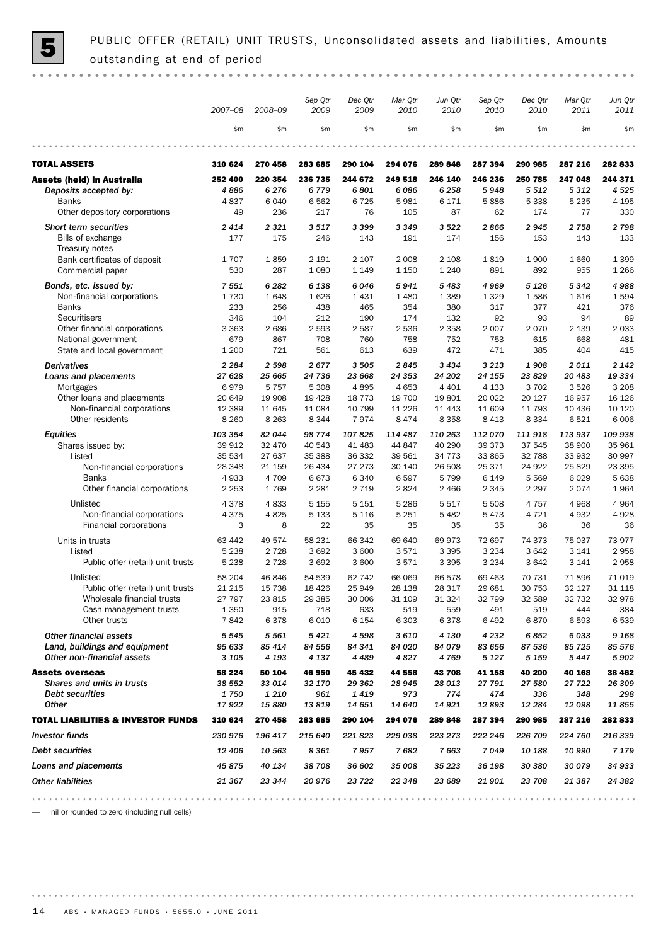

PUBLIC OFFER (RETAIL) UNIT TRUSTS, Unconsolidated assets and liabilities, Amounts<br>outstanding at end of period

|                                                             |                   |                   | Sep Qtr           | Dec Qtr           | Mar Qtr            | Jun Qtr                         | Sep Qtr           | Dec Qtr           | Mar Qtr           | Jun Qtr           |
|-------------------------------------------------------------|-------------------|-------------------|-------------------|-------------------|--------------------|---------------------------------|-------------------|-------------------|-------------------|-------------------|
|                                                             | 2007-08           | 2008-09           | 2009              | 2009              | 2010               | 2010                            | 2010              | 2010              | 2011              | 2011              |
|                                                             | \$m\$             | \$m\$             | \$m               | \$m\$             | \$m                | \$m\$                           | \$m\$             | \$m\$             | \$m\$             | \$m               |
| <b>TOTAL ASSETS</b>                                         | 310 624           | 270 458           | 283 685           | 290 104           | 294 076            | 289 848                         | 287 394           | 290 985           | 287 216           | 282 833           |
| <b>Assets (held) in Australia</b>                           | 252 400           | 220 354           | 236 735           | 244 672           | 249 518            | 246 140                         | 246 236           | 250 785           | 247 048           | 244 371           |
| Deposits accepted by:                                       | 4886              | 6276              | 6779              | 6801              | 6086               | 6 2 5 8                         | 5948              | 5 5 1 2           | 5 3 1 2           | 4525              |
| <b>Banks</b>                                                | 4837              | 6040              | 6562              | 6725              | 5981               | 6 1 7 1                         | 5886              | 5 3 3 8           | 5 2 3 5           | 4 1 9 5           |
| Other depository corporations                               | 49                | 236               | 217               | 76                | 105                | 87                              | 62                | 174               | 77                | 330               |
| Short term securities                                       | 2414              | 2 3 2 1           | 3517              | 3 3 9 9           | 3 3 4 9            | 3522                            | 2866              | 2945              | 2758              | 2798              |
| Bills of exchange<br>Treasury notes                         | 177               | 175               | 246               | 143               | 191                | 174<br>$\overline{\phantom{0}}$ | 156               | 153               | 143               | 133               |
| Bank certificates of deposit                                | 1707              | 1859              | 2 1 9 1           | 2 107             | 2 0 0 8            | 2 1 0 8                         | 1819              | 1900              | 1 6 6 0           | 1 3 9 9           |
| Commercial paper                                            | 530               | 287               | 1 0 8 0           | 1 1 4 9           | 1 1 5 0            | 1 2 4 0                         | 891               | 892               | 955               | 1 2 6 6           |
| Bonds, etc. issued by:                                      | 7 5 5 1           | 6 2 8 2           | 6 1 3 8           | 6046              | 5941               | 5 4 8 3                         | 4 9 6 9           | 5 1 2 6           | 5 3 4 2           | 4988              |
| Non-financial corporations                                  | 1730              | 1648              | 1626              | 1 4 3 1           | 1 4 8 0            | 1389                            | 1 3 2 9           | 1586              | 1616              | 1594              |
| <b>Banks</b>                                                | 233               | 256               | 438               | 465               | 354                | 380                             | 317               | 377               | 421               | 376               |
| Securitisers                                                | 346               | 104               | 212               | 190               | 174                | 132                             | 92                | 93                | 94                | 89                |
| Other financial corporations                                | 3 3 6 3           | 2686              | 2 5 9 3           | 2587              | 2 5 3 6            | 2 3 5 8                         | 2 0 0 7           | 2070              | 2 1 3 9           | 2 0 3 3           |
| National government<br>State and local government           | 679<br>1 200      | 867<br>721        | 708<br>561        | 760<br>613        | 758<br>639         | 752<br>472                      | 753<br>471        | 615<br>385        | 668<br>404        | 481<br>415        |
| <b>Derivatives</b>                                          | 2 2 8 4           | 2598              | 2677              | 3 5 0 5           | 2845               | 3 4 3 4                         | 3 2 1 3           | 1908              | 2011              | 2 1 4 2           |
| Loans and placements                                        | 27 628            | 25 665            | 24 736            | 23 668            | 24 353             | 24 202                          | 24 155            | 23829             | 20 483            | 19 334            |
| Mortgages                                                   | 6979              | 5 7 5 7           | 5 3 0 8           | 4895              | 4 6 5 3            | 4 4 0 1                         | 4 1 3 3           | 3702              | 3526              | 3 2 0 8           |
| Other loans and placements                                  | 20 649            | 19 908            | 19 4 28           | 18 7 73           | 19 700             | 19801                           | 20 022            | 20 127            | 16 957            | 16 126            |
| Non-financial corporations<br>Other residents               | 12 389<br>8 2 6 0 | 11 645<br>8 2 6 3 | 11 084<br>8 3 4 4 | 10 799<br>7974    | 11 2 26<br>8 4 7 4 | 11 4 4 3<br>8 3 5 8             | 11 609<br>8 4 1 3 | 11 793<br>8 3 3 4 | 10 436<br>6521    | 10 120<br>6 0 0 6 |
|                                                             |                   |                   |                   |                   |                    |                                 |                   |                   |                   |                   |
| <b>Equities</b>                                             | 103 354           | 82 044            | 98 774            | 107825            | 114 487            | 110 263                         | 112 070           | 111 918           | 113 937           | 109 938           |
| Shares issued by:<br>Listed                                 | 39 912<br>35 534  | 32 470<br>27 637  | 40 543<br>35 388  | 41 483<br>36 332  | 44 847<br>39 561   | 40 290<br>34 7 7 3              | 39 373<br>33 865  | 37 545<br>32 788  | 38 900<br>33 932  | 35 961<br>30 997  |
| Non-financial corporations                                  | 28 348            | 21 159            | 26 434            | 27 273            | 30 140             | 26 508                          | 25 371            | 24 9 22           | 25829             | 23 395            |
| <b>Banks</b>                                                | 4933              | 4 7 0 9           | 6673              | 6 3 4 0           | 6597               | 5799                            | 6 1 4 9           | 5 5 6 9           | 6029              | 5 6 38            |
| Other financial corporations                                | 2 2 5 3           | 1769              | 2 2 8 1           | 2 7 1 9           | 2824               | 2 4 6 6                         | 2 3 4 5           | 2 2 9 7           | 2074              | 1964              |
| Unlisted                                                    | 4 3 7 8           | 4833              | 5 1 5 5           | 5 1 5 1           | 5 2 8 6            | 5517                            | 5 5 0 8           | 4757              | 4968              | 4 9 64            |
| Non-financial corporations                                  | 4 3 7 5           | 4825              | 5 1 3 3           | 5 1 1 6           | 5 2 5 1            | 5482                            | 5 4 7 3           | 4 7 2 1           | 4932              | 4928              |
| Financial corporations                                      | 3                 | 8                 | 22                | 35                | 35                 | 35                              | 35                | 36                | 36                | 36                |
| Units in trusts                                             | 63 442            | 49 574            | 58 231            | 66 342            | 69 640             | 69973                           | 72 697            | 74 373            | 75 037            | 73 977            |
| Listed                                                      | 5 2 3 8           | 2728              | 3692              | 3 600             | 3571               | 3 3 9 5                         | 3 2 3 4           | 3642              | 3 1 4 1           | 2958              |
| Public offer (retail) unit trusts                           | 5 2 3 8           | 2728              | 3692              | 3 600             | 3571               | 3 3 9 5                         | 3 2 3 4           | 3642              | 3 1 4 1           | 2958              |
| Unlisted                                                    | 58 204            | 46 846            | 54 539            | 62 742            | 66 069             | 66 578                          | 69 4 63           | 70 731            | 71896             | 71 019            |
| Public offer (retail) unit trusts                           | 21 215            | 15 7 38           | 18 4 26           | 25 949            | 28 138             | 28 317                          | 29 681            | 30 753            | 32 127            | 31 118            |
| Wholesale financial trusts                                  | 27 797<br>1 3 5 0 | 23815<br>915      | 29 385<br>718     | 30 006<br>633     | 31 109<br>519      | 31 324<br>559                   | 32 799<br>491     | 32 589<br>519     | 32 732<br>444     | 32 978<br>384     |
| Cash management trusts<br>Other trusts                      | 7842              | 6378              | 6010              | 6 1 5 4           | 6 3 0 3            | 6378                            | 6492              | 6870              | 6 5 9 3           | 6539              |
| <b>Other financial assets</b>                               | 5 5 4 5           | 5 5 6 1           | 5421              | 4598              | 3610               | 4 1 3 0                         | 4 2 3 2           | 6852              | 6033              | 9 1 6 8           |
| Land, buildings and equipment<br>Other non-financial assets | 95 633<br>3 1 0 5 | 85 414<br>4 1 9 3 | 84 556<br>4 1 3 7 | 84 341<br>4 4 8 9 | 84 020<br>4827     | 84 079<br>4769                  | 83 656<br>5 1 2 7 | 87 536<br>5 1 5 9 | 85 725<br>5 4 4 7 | 85 576<br>5902    |
| <b>Assets overseas</b>                                      | 58 224            | 50 104            | 46 950            | 45 432            | 44 558             | 43708                           | 41 158            | 40 200            | 40 168            | 38 462            |
| Shares and units in trusts                                  | 38 552            | 33 014            | 32 170            | 29 362            | 28 945             | 28 013                          | 27 791            | 27 580            | 27 722            | 26 309            |
| Debt securities                                             | 1750              | 1 2 1 0           | 961               | 1419              | 973                | 774                             | 474               | 336               | 348               | 298               |
| <b>Other</b>                                                | 17922             | 15880             | 13819             | 14 651            | 14 640             | 14 9 21                         | 12893             | 12 284            | 12 098            | 11855             |

*Debt securities 12 406 10 563 8 361 7 957 7 682 7 663 7 049 10 188 10 990 7 179 Investor funds 230 976 196 417 215 640 221 823 229 038 223 273 222 246 226 709 224 760 216 339* TOTAL LIABILITIES & INVESTOR FUNDS 310 624 270 458 283 685 290 104 294 076 289 848 287 394 290 985 287 216 282 833

*Loans and placements 45 875 40 134 38 708 36 602 35 008 35 223 36 198 30 380 30 079 34 933 Other liabilities 21 367 23 344 20 976 23 722 22 348 23 689 21 901 23 708 21 387 24 382* 

— nil or rounded to zero (including null cells)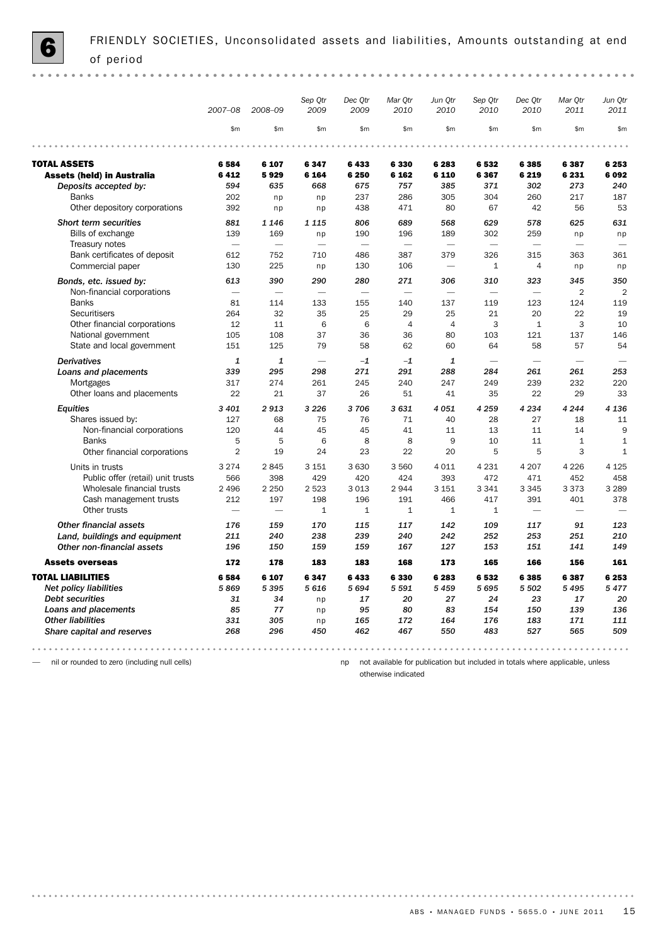*Sep Qtr Dec Qtr Mar Qtr Jun Qtr Sep Qtr Dec Qtr Mar Qtr Jun Qtr 2007–08 2008–09 2009 2009 2010 2010 2010 2010 2011 2011* \$m \$m \$m \$m \$m \$m \$m \$m \$m \$m  $\frac{1}{2}$ TOTAL ASSETS 6 584 6 107 6 347 6 433 6 330 6 283 6 532 6 385 6 387 6 253 Assets (held) in Australia 6 412 5 929 6 164 6 250 6 162 6 110 6 367 6 219 6 231 6 092 *Deposits accepted by: 594 635 668 675 757 385 371 302 273 240* Banks 202 np np 237 286 305 304 260 217 187 Other depository corporations 392 np np 438 471 80 67 42 56 53 *Short term securities 881 1 146 1 115 806 689 568 629 578 625 631* Bills of exchange 139 169 np 190 196 189 302 259 np np Treasury notes  $\qquad \qquad \, - \qquad \, - \qquad \, - \qquad \, - \qquad \, - \qquad \, - \qquad \, - \qquad \, - \qquad \, - \qquad \, - \qquad \, - \qquad \, - \qquad \, - \qquad \, - \qquad \, - \qquad \, - \qquad \, - \qquad \, - \qquad \, - \qquad \, - \qquad \, - \qquad \, - \qquad \, - \qquad \, - \qquad \, - \qquad \, - \qquad \, - \qquad \, - \qquad \, - \qquad \, - \qquad \, - \qquad \, - \qquad \, - \qquad \$ Bank certificates of deposit 612 752 710 486 387 379 326 315 363 361  $\text{Commercial paper}$  130 225 np 130 106  $-$  1 4 np np *Bonds, etc. issued by: 613 390 290 280 271 306 310 323 345 350* Non-financial corporations  $\begin{array}{ccccccccccc} -&-&-&-&-&-&-&-&-&-&-&2&2&2 \end{array}$ <br>Banks 81 114 133 155 140 137 119 123 124 119 Banks 81 114 133 155 140 137 119 123 124 119 Securitisers 264 32 35 25 29 25 21 20 22 19 Other financial corporations 12 11 6 6 4 4 3 1 3 10 National government 105 108 37 36 36 80 103 121 137 146 State and local government 151 125 79 58 62 60 64 58 57 54 *Derivatives 1 1* — *–1 –1 1* — — — — *Loans and placements 339 295 298 271 291 288 284 261 261 253* Mortgages 317 274 261 245 240 247 249 239 232 220 Other loans and placements  $22$   $21$   $37$   $26$   $51$   $41$   $35$   $22$   $29$   $33$ *Equities 3 401 2 913 3 226 3 706 3 631 4 051 4 259 4 234 4 244 4 136* Shares issued by: 127 68 75 76 71 40 28 27 18 11 Non-financial corporations 120 44 45 45 41 11 13 11 14 9 Banks 5 5 6 8 8 9 10 11 1 1 Other financial corporations 2 19 24 23 22 20 5 5 3 1 Units in trusts 3 274 2 845 3 151 3 630 3 560 4 011 4 231 4 207 4 226 4 125 Public offer (retail) unit trusts 566 398 429 420 424 393 472 471 452 458 Wholesale financial trusts 2 496 2 250 2 523 3 013 2 944 3 151 3 341 3 345 3 373 3 289 Cash management trusts  $212$  197 198 196 191 466 417 391 401 378<br>Other trusts  $-$  1 1 1 1 1 1  $-$ Other trusts — — 1 1 1 1 1 — — — *Other financial assets 176 159 170 115 117 142 109 117 91 123 Land, buildings and equipment 211 240 238 239 240 242 252 253 251 210 Other non-financial assets 196 150 159 159 167 127 153 151 141 149* Assets overseas 172 178 183 183 168 173 165 166 156 161 TOTAL LIABILITIES 6 584 6 107 6 347 6 433 6 330 6 283 6 532 6 385 6 387 6 253 *Net policy liabilities 5 869 5 395 5 616 5 694 5 591 5 459 5 695 5 502 5 495 5 477 Debt securities 31 34* np *17 20 27 24 23 17 20 Loans and placements 85 77* np *95 80 83 154 150 139 136 Other liabilities 331 305* np *165 172 164 176 183 171 111 Share capital and reserves 268 296 450 462 467 550 483 527 565 509* 

— nil or rounded to zero (including null cells)

 $\sim$   $\sim$   $\sim$ 

np not available for publication but included in totals where applicable, unless otherwise indicated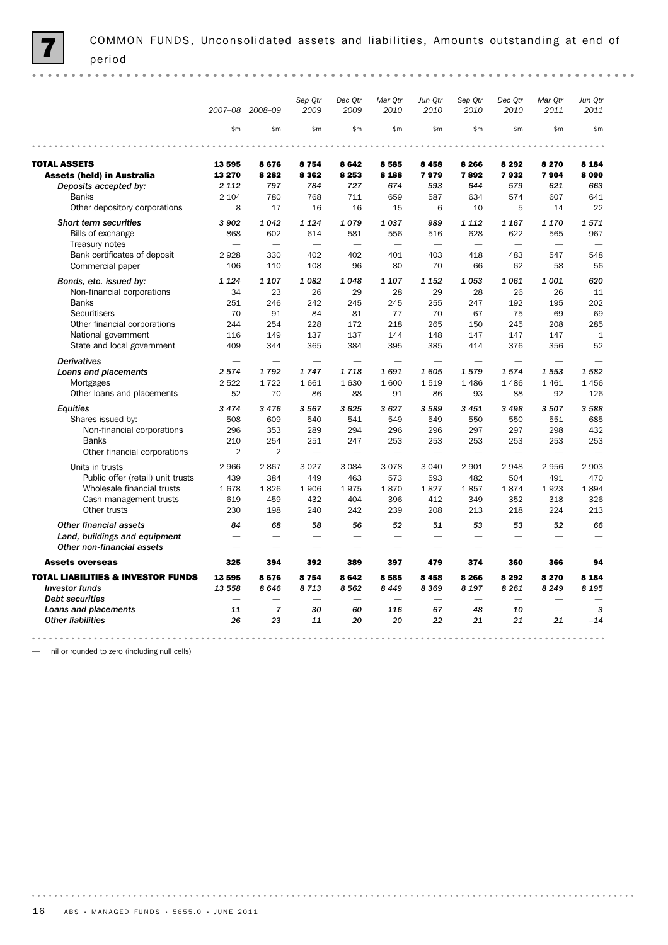|                                                             |                          | 2007-08 2008-09          | Sep Qtr<br>2009                | Dec Otr<br>2009                | Mar Otr<br>2010          | Jun Qtr<br>2010          | Sep Qtr<br>2010          | Dec Qtr<br>2010          | Mar Qtr<br>2011          | Jun Otr<br>2011          |
|-------------------------------------------------------------|--------------------------|--------------------------|--------------------------------|--------------------------------|--------------------------|--------------------------|--------------------------|--------------------------|--------------------------|--------------------------|
|                                                             | \$m                      | \$m\$                    | \$m\$                          | \$m                            | \$m\$                    | \$m\$                    | \$m                      | \$m\$                    | \$m\$                    | \$m\$                    |
|                                                             |                          |                          |                                |                                |                          |                          |                          |                          |                          |                          |
| <b>TOTAL ASSETS</b>                                         | 13 595                   | 8676                     | 8754                           | 8642                           | 8585                     | 8 4 5 8                  | 8 2 6 6                  | 8 2 9 2                  | 8 2 7 0                  | 8 1 8 4                  |
| <b>Assets (held) in Australia</b>                           | 13 270                   | 8 2 8 2                  | 8 3 6 2                        | 8 2 5 3                        | 8 1 8 8                  | 7979                     | 7892                     | 7932                     | 7904                     | 8090                     |
| Deposits accepted by:                                       | 2 1 1 2                  | 797                      | 784                            | 727                            | 674                      | 593                      | 644                      | 579                      | 621                      | 663                      |
| <b>Banks</b>                                                | 2 1 0 4                  | 780                      | 768                            | 711                            | 659                      | 587                      | 634                      | 574                      | 607                      | 641                      |
| Other depository corporations                               | 8                        | 17                       | 16                             | 16                             | 15                       | 6                        | 10                       | 5                        | 14                       | 22                       |
| <b>Short term securities</b>                                | 3 902                    | 1042                     | 1 1 2 4                        | 1079                           | 1037                     | 989                      | 1 1 1 2                  | 1 1 6 7                  | 1 1 7 0                  | 1571                     |
| Bills of exchange                                           | 868                      | 602                      | 614                            | 581                            | 556                      | 516                      | 628                      | 622                      | 565                      | 967                      |
| Treasury notes                                              | $\overline{\phantom{0}}$ |                          | $\overline{\phantom{0}}$       | $\overline{\phantom{0}}$       | $\overline{\phantom{m}}$ | $\overline{\phantom{0}}$ | $\sim$                   |                          | $\overline{\phantom{0}}$ | $\overline{\phantom{0}}$ |
| Bank certificates of deposit                                | 2928                     | 330                      | 402                            | 402                            | 401                      | 403                      | 418                      | 483                      | 547                      | 548                      |
| Commercial paper                                            | 106                      | 110                      | 108                            | 96                             | 80                       | 70                       | 66                       | 62                       | 58                       | 56                       |
| Bonds, etc. issued by:                                      | 1 1 2 4                  | 1 1 0 7                  | 1082                           | 1 0 48                         | 1 107                    | 1 1 5 2                  | 1053                     | 1061                     | 1 0 0 1                  | 620                      |
| Non-financial corporations                                  | 34                       | 23                       | 26                             | 29                             | 28                       | 29                       | 28                       | 26                       | 26                       | 11                       |
| <b>Banks</b>                                                | 251                      | 246                      | 242                            | 245                            | 245                      | 255                      | 247                      | 192                      | 195                      | 202                      |
| <b>Securitisers</b>                                         | 70                       | 91                       | 84                             | 81                             | 77                       | 70                       | 67                       | 75                       | 69                       | 69                       |
| Other financial corporations                                | 244                      | 254                      | 228                            | 172                            | 218                      | 265                      | 150                      | 245                      | 208                      | 285                      |
| National government                                         | 116                      | 149                      | 137                            | 137                            | 144                      | 148                      | 147                      | 147                      | 147                      | $\mathbf{1}$             |
| State and local government                                  | 409                      | 344                      | 365                            | 384                            | 395                      | 385                      | 414                      | 376                      | 356                      | 52                       |
| <b>Derivatives</b>                                          | $\overline{\phantom{a}}$ | $\overline{\phantom{a}}$ | $\overline{\phantom{0}}$       | $\overline{\phantom{a}}$       |                          | ÷.                       | ÷.                       | $\overline{\phantom{a}}$ | $\overline{\phantom{0}}$ |                          |
| Loans and placements                                        | 2574                     | 1792                     | 1747                           | 1718                           | 1691                     | 1605                     | 1579                     | 1574                     | 1553                     | 1582                     |
| Mortgages                                                   | 2522                     | 1722                     | 1661                           | 1630                           | 1 600                    | 1519                     | 1486                     | 1486                     | 1 4 6 1                  | 1456                     |
| Other loans and placements                                  | 52                       | 70                       | 86                             | 88                             | 91                       | 86                       | 93                       | 88                       | 92                       | 126                      |
| <b>Equities</b>                                             | 3 4 7 4                  | 3 4 7 6                  | 3567                           | 3625                           | 3627                     | 3 5 8 9                  | 3 4 5 1                  | 3 4 9 8                  | 3 5 0 7                  | 3 5 8 8                  |
| Shares issued by:                                           | 508                      | 609                      | 540                            | 541                            | 549                      | 549                      | 550                      | 550                      | 551                      | 685                      |
| Non-financial corporations                                  | 296                      | 353                      | 289                            | 294                            | 296                      | 296                      | 297                      | 297                      | 298                      | 432                      |
| <b>Banks</b>                                                | 210                      | 254                      | 251                            | 247                            | 253                      | 253                      | 253                      | 253                      | 253                      | 253                      |
| Other financial corporations                                | $\overline{2}$           | $\overline{2}$           | $\overline{\phantom{0}}$       |                                | $\overline{\phantom{0}}$ |                          |                          |                          |                          |                          |
| Units in trusts                                             | 2966                     | 2867                     | 3 0 2 7                        | 3 0 8 4                        | 3078                     | 3 0 4 0                  | 2 9 0 1                  | 2948                     | 2956                     | 2903                     |
| Public offer (retail) unit trusts                           | 439                      | 384                      | 449                            | 463                            | 573                      | 593                      | 482                      | 504                      | 491                      | 470                      |
| Wholesale financial trusts                                  | 1678                     | 1826                     | 1906                           | 1975                           | 1870                     | 1827                     | 1857                     | 1874                     | 1923                     | 1894                     |
| Cash management trusts                                      | 619                      | 459                      | 432                            | 404                            | 396                      | 412                      | 349                      | 352                      | 318                      | 326                      |
| Other trusts                                                | 230                      | 198                      | 240                            | 242                            | 239                      | 208                      | 213                      | 218                      | 224                      | 213                      |
|                                                             |                          |                          |                                |                                |                          |                          |                          |                          |                          |                          |
| Other financial assets                                      | 84                       | 68<br>L.                 | 58                             | 56<br>$\overline{\phantom{0}}$ | 52<br>$\sim$             | 51<br>÷.                 | 53<br>÷.                 | 53                       | 52<br>÷.                 | 66<br>÷.                 |
| Land, buildings and equipment<br>Other non-financial assets |                          |                          | $\overline{\phantom{0}}$<br>÷. |                                | ÷.                       |                          | -                        | ÷.                       |                          |                          |
| <b>Assets overseas</b>                                      | 325                      | 394                      | 392                            | 389                            | 397                      | 479                      | 374                      | 360                      | 366                      | 94                       |
| <b>TOTAL LIABILITIES &amp; INVESTOR FUNDS</b>               | 13 595                   | 8676                     | 8754                           | 8642                           | 8585                     | 8 4 5 8                  | 8 2 6 6                  | 8 2 9 2                  | 8 2 7 0                  | 8 1 8 4                  |
| <b>Investor funds</b>                                       | 13 558                   | 8646                     | 8713                           | 8562                           | 8 4 4 9                  | 8369                     | 8 1 9 7                  | 8 2 6 1                  | 8 2 4 9                  | 8 1 9 5                  |
| <b>Debt securities</b>                                      |                          |                          |                                |                                | $\overline{\phantom{0}}$ | $\overline{\phantom{0}}$ | $\overline{\phantom{0}}$ |                          |                          |                          |
| Loans and placements                                        | 11                       | $\overline{7}$           | 30                             | 60                             | 116                      | 67                       | 48                       | 10                       | ÷.                       | 3                        |
| <b>Other liabilities</b>                                    | 26                       | 23                       | 11                             | 20                             | 20                       | 22                       | 21                       | 21                       | 21                       | $-14$                    |

— nil or rounded to zero (including null cells)

. . . . . . . . .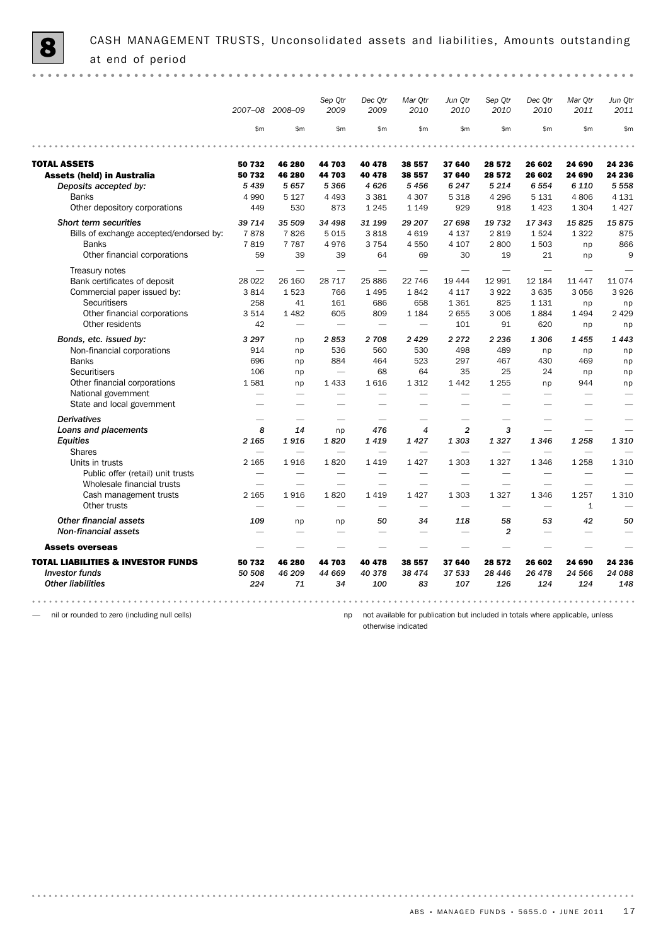|                                               | 2007-08 2008-09          |                                 | Sep Qtr<br>2009          | Dec Qtr<br>2009          | Mar Qtr<br>2010          | Jun Qtr<br>2010          | Sep Qtr<br>2010 | Dec Qtr<br>2010          | Mar Qtr<br>2011 | Jun Qtr<br>2011 |
|-----------------------------------------------|--------------------------|---------------------------------|--------------------------|--------------------------|--------------------------|--------------------------|-----------------|--------------------------|-----------------|-----------------|
|                                               | \$m                      | \$m\$                           | \$m\$                    | \$m                      | \$m\$                    | \$m\$                    | \$m\$           | \$m                      | \$m             | \$m             |
|                                               |                          |                                 |                          |                          |                          |                          |                 |                          |                 |                 |
| <b>TOTAL ASSETS</b>                           | 50 732                   | 46 280                          | 44703                    | 40 478                   | 38 557                   | 37 640                   | 28 572          | 26 602                   | 24 690          | 24 236          |
| <b>Assets (held) in Australia</b>             | 50 732                   | 46 280                          | 44703                    | 40 478                   | 38 557                   | 37 640                   | 28 572          | 26 602                   | 24 690          | 24 236          |
| Deposits accepted by:                         | 5439                     | 5657                            | 5 3 6 6                  | 4626                     | 5456                     | 6 2 4 7                  | 5 2 1 4         | 6 5 5 4                  | 6 1 1 0         | 5 5 5 8         |
| <b>Banks</b>                                  | 4 9 9 0                  | 5 1 2 7                         | 4 4 9 3                  | 3 3 8 1                  | 4 3 0 7                  | 5 3 1 8                  | 4 2 9 6         | 5 1 3 1                  | 4806            | 4 1 3 1         |
| Other depository corporations                 | 449                      | 530                             | 873                      | 1 2 4 5                  | 1 1 4 9                  | 929                      | 918             | 1 4 2 3                  | 1 3 0 4         | 1 4 2 7         |
| Short term securities                         | 39 714                   | 35 509                          | 34 498                   | 31 199                   | 29 207                   | 27 698                   | 19732           | 17343                    | 15825           | 15875           |
| Bills of exchange accepted/endorsed by:       | 7878                     | 7826                            | 5015                     | 3818                     | 4 6 1 9                  | 4 1 3 7                  | 2819            | 1524                     | 1 3 2 2         | 875             |
| <b>Banks</b>                                  | 7819                     | 7 7 8 7                         | 4976                     | 3 7 5 4                  | 4 5 5 0                  | 4 107                    | 2800            | 1503                     | np              | 866             |
| Other financial corporations                  | 59                       | 39                              | 39                       | 64                       | 69                       | 30                       | 19              | 21                       | np              | 9               |
| Treasury notes                                |                          |                                 |                          |                          |                          |                          |                 |                          |                 |                 |
| Bank certificates of deposit                  | 28 0 22                  | 26 160                          | 28 7 1 7                 | 25 886                   | 22 746                   | 19 4 44                  | 12 991          | 12 184                   | 11 447          | 11074           |
| Commercial paper issued by:                   | 3814                     | 1523                            | 766                      | 1 4 9 5                  | 1842                     | 4 1 1 7                  | 3922            | 3 6 3 5                  | 3056            | 3926            |
| <b>Securitisers</b>                           | 258                      | 41                              | 161                      | 686                      | 658                      | 1 3 6 1                  | 825             | 1 1 3 1                  | np              | np              |
| Other financial corporations                  | 3514                     | 1482                            | 605                      | 809                      | 1 1 8 4                  | 2655                     | 3 0 0 6         | 1884                     | 1494            | 2 4 2 9         |
| Other residents                               | 42                       | $\overbrace{\qquad \qquad }^{}$ | $\overline{\phantom{0}}$ | $\overline{\phantom{0}}$ | $\overline{\phantom{0}}$ | 101                      | 91              | 620                      | np              | np              |
| Bonds, etc. issued by:                        | 3 2 9 7                  | np                              | 2853                     | 2 708                    | 2429                     | 2 2 7 2                  | 2 2 3 6         | 1306                     | 1455            | 1443            |
| Non-financial corporations                    | 914                      | np                              | 536                      | 560                      | 530                      | 498                      | 489             | np                       | np              | np              |
| <b>Banks</b>                                  | 696                      | np                              | 884                      | 464                      | 523                      | 297                      | 467             | 430                      | 469             | np              |
| Securitisers                                  | 106                      | np                              |                          | 68                       | 64                       | 35                       | 25              | 24                       | np              | np              |
| Other financial corporations                  | 1581                     | np                              | 1 4 3 3                  | 1616                     | 1 3 1 2                  | 1442                     | 1 2 5 5         | np                       | 944             | np              |
| National government                           | $\overline{\phantom{0}}$ |                                 |                          | $\overline{\phantom{0}}$ | $\overline{\phantom{0}}$ | $\overline{\phantom{0}}$ |                 | $\overline{\phantom{0}}$ |                 |                 |
| State and local government                    |                          |                                 |                          |                          |                          |                          |                 |                          |                 |                 |
| <b>Derivatives</b>                            |                          |                                 |                          |                          |                          |                          |                 |                          |                 |                 |
| Loans and placements                          | 8                        | 14                              | np                       | 476                      | 4                        | $\overline{2}$           | 3               |                          |                 |                 |
| <b>Equities</b>                               | 2 1 6 5                  | 1916                            | 1820                     | 1419                     | 1427                     | 1 303                    | 1327            | 1346                     | 1 2 5 8         | 1310            |
| <b>Shares</b>                                 | $\overline{\phantom{0}}$ |                                 | $\overline{\phantom{m}}$ | -                        | -                        | -                        | -               |                          |                 |                 |
| Units in trusts                               | 2 1 6 5                  | 1916                            | 1820                     | 1419                     | 1427                     | 1 3 0 3                  | 1 3 2 7         | 1 3 4 6                  | 1 2 5 8         | 1 3 1 0         |
| Public offer (retail) unit trusts             |                          |                                 |                          |                          |                          |                          |                 |                          |                 |                 |
| Wholesale financial trusts                    |                          |                                 |                          |                          |                          |                          |                 |                          |                 |                 |
| Cash management trusts                        | 2 1 6 5                  | 1916                            | 1820                     | 1 4 1 9                  | 1 4 2 7                  | 1 3 0 3                  | 1 3 2 7         | 1 3 4 6                  | 1 2 5 7         | 1 3 1 0         |
| Other trusts                                  |                          |                                 |                          |                          |                          |                          |                 |                          | $\mathbf{1}$    |                 |
| <b>Other financial assets</b>                 | 109                      | np                              | np                       | 50                       | 34                       | 118                      | 58              | 53                       | 42              | 50              |
| <b>Non-financial assets</b>                   |                          |                                 |                          |                          |                          |                          | $\overline{a}$  |                          |                 |                 |
| <b>Assets overseas</b>                        |                          |                                 |                          |                          |                          |                          |                 |                          |                 |                 |
|                                               |                          |                                 |                          |                          |                          |                          |                 |                          |                 |                 |
| <b>TOTAL LIABILITIES &amp; INVESTOR FUNDS</b> | 50 732                   | 46 280                          | 44703                    | 40 478                   | 38 557                   | 37 640                   | 28 572          | 26 602                   | 24 690          | 24 236          |
| <b>Investor funds</b>                         | 50 508                   | 46 209                          | 44 669                   | 40 378                   | 38 474                   | 37 533                   | 28 4 46         | 26 478                   | 24 566          | 24 088          |
| <b>Other liabilities</b>                      | 224                      | 71                              | 34                       | 100                      | 83                       | 107                      | 126             | 124                      | 124             | 148             |

— nil or rounded to zero (including null cells)

np not available for publication but included in totals where applicable, unless

otherwise indicated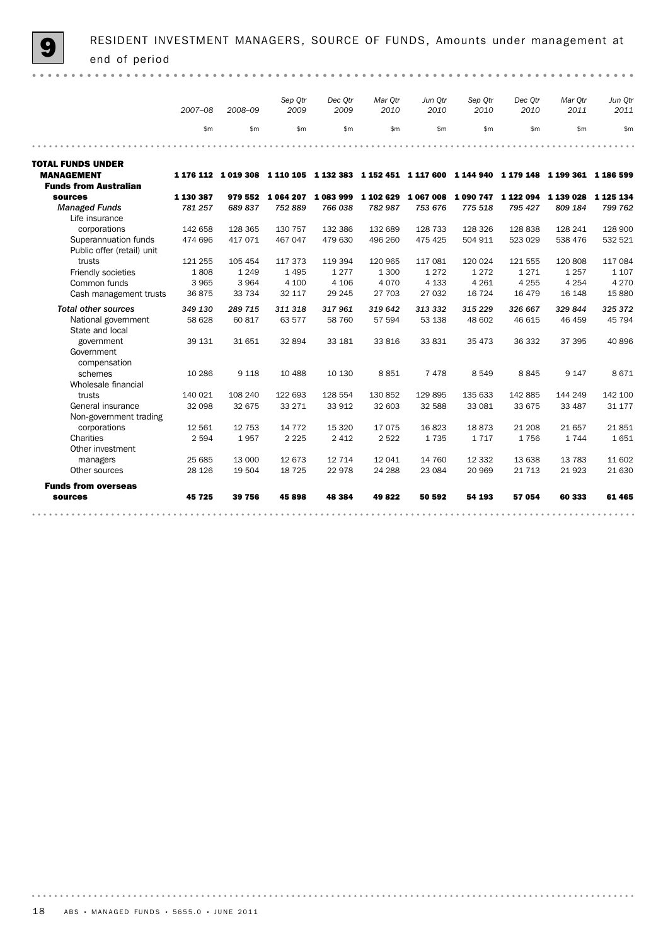|                                                    |           |          | Sep Qtr           | Dec Qtr      | Mar Qtr   | Jun Qtr | Sep Qtr | Dec Qtr                                                                                             | Mar Qtr | Jun Qtr       |
|----------------------------------------------------|-----------|----------|-------------------|--------------|-----------|---------|---------|-----------------------------------------------------------------------------------------------------|---------|---------------|
|                                                    | 2007-08   | 2008-09  | 2009              | 2009         | 2010      | 2010    | 2010    | 2010                                                                                                | 2011    | 2011          |
|                                                    | \$m       | \$m      | \$m\$             | $\mathsf{m}$ | \$m\$     | \$m\$   | \$m     | \$m\$                                                                                               | \$m\$   | \$m           |
|                                                    |           |          |                   |              |           |         |         |                                                                                                     |         |               |
| <b>TOTAL FUNDS UNDER</b>                           |           |          |                   |              |           |         |         |                                                                                                     |         |               |
| <b>MANAGEMENT</b>                                  |           |          |                   |              |           |         |         | 1 176 112 1 019 308 1 110 105 1 132 383 1 152 451 1 117 600 1 144 940 1 179 148 1 199 361 1 186 599 |         |               |
| <b>Funds from Australian</b>                       |           |          |                   |              |           |         |         |                                                                                                     |         |               |
| sources                                            | 1 130 387 |          | 979 552 1 064 207 | 1083999      | 1 102 629 | 1067008 |         | 1 090 747 1 122 094 1 139 028                                                                       |         | 1 1 2 5 1 3 4 |
| <b>Managed Funds</b>                               | 781 257   | 689837   | 752 889           | 766038       | 782 987   | 753 676 | 775 518 | 795 427                                                                                             | 809 184 | 799 762       |
| Life insurance                                     |           |          |                   |              |           |         |         |                                                                                                     |         |               |
| corporations                                       | 142 658   | 128 365  | 130 757           | 132 386      | 132 689   | 128 733 | 128 326 | 128 838                                                                                             | 128 241 | 128 900       |
| Superannuation funds<br>Public offer (retail) unit | 474 696   | 417071   | 467 047           | 479 630      | 496 260   | 475 425 | 504 911 | 523 029                                                                                             | 538 476 | 532 521       |
| trusts                                             | 121 255   | 105 454  | 117 373           | 119 394      | 120 965   | 117 081 | 120 024 | 121 555                                                                                             | 120 808 | 117 084       |
| Friendly societies                                 | 1808      | 1 2 4 9  | 1495              | 1277         | 1 3 0 0   | 1 2 7 2 | 1 2 7 2 | 1271                                                                                                | 1 2 5 7 | 1 1 0 7       |
| Common funds                                       | 3 9 6 5   | 3 9 6 4  | 4 100             | 4 10 6       | 4070      | 4 1 3 3 | 4 2 6 1 | 4 2 5 5                                                                                             | 4 2 5 4 | 4 2 7 0       |
| Cash management trusts                             | 36 875    | 33 7 34  | 32 117            | 29 245       | 27 703    | 27 032  | 16 7 24 | 16 479                                                                                              | 16 148  | 15 8 80       |
| <b>Total other sources</b>                         | 349 130   | 289 715  | 311 318           | 317961       | 319 642   | 313 332 | 315 229 | 326 667                                                                                             | 329 844 | 325 372       |
| National government<br>State and local             | 58 628    | 60 817   | 63 577            | 58 760       | 57 594    | 53 138  | 48 602  | 46 615                                                                                              | 46 459  | 45 794        |
| government<br>Government<br>compensation           | 39 131    | 31 651   | 32 894            | 33 181       | 33 816    | 33 831  | 35 473  | 36 332                                                                                              | 37 395  | 40 896        |
| schemes                                            | 10 28 6   | 9 1 1 8  | 10 488            | 10 130       | 8851      | 7478    | 8 5 4 9 | 8845                                                                                                | 9 1 4 7 | 8671          |
| Wholesale financial                                |           |          |                   |              |           |         |         |                                                                                                     |         |               |
| trusts                                             | 140 021   | 108 240  | 122 693           | 128 554      | 130 852   | 129 895 | 135 633 | 142 885                                                                                             | 144 249 | 142 100       |
| General insurance                                  | 32 098    | 32 675   | 33 2 7 1          | 33 912       | 32 603    | 32 588  | 33 081  | 33 675                                                                                              | 33 487  | 31 177        |
| Non-government trading                             |           |          |                   |              |           |         |         |                                                                                                     |         |               |
| corporations                                       | 12 5 61   | 12 7 5 3 | 14 7 7 2          | 15 3 20      | 17075     | 16823   | 18873   | 21 208                                                                                              | 21 657  | 21851         |
| Charities                                          | 2 5 9 4   | 1957     | 2 2 2 5           | 2 4 1 2      | 2 5 2 2   | 1735    | 1717    | 1756                                                                                                | 1744    | 1651          |
| Other investment                                   |           |          |                   |              |           |         |         |                                                                                                     |         |               |
| managers                                           | 25 685    | 13 000   | 12 673            | 12 7 14      | 12 041    | 14 760  | 12 3 32 | 13 638                                                                                              | 13 783  | 11 602        |
| Other sources                                      | 28 1 26   | 19 504   | 18 7 25           | 22978        | 24 288    | 23 084  | 20 969  | 21 7 1 3                                                                                            | 21 9 23 | 21 630        |
| <b>Funds from overseas</b>                         |           |          |                   |              |           |         |         |                                                                                                     |         |               |
| sources                                            | 45 725    | 39 756   | 45898             | 48 384       | 49822     | 50 592  | 54 193  | 57 054                                                                                              | 60 333  | 61 465        |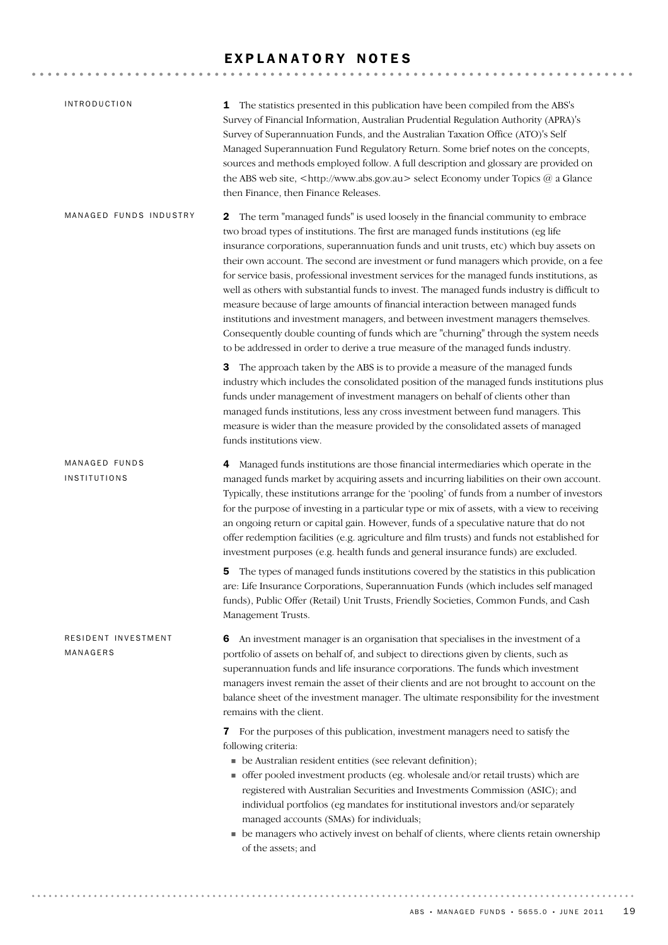# EXPLANATORY NOTES

| <b>INTRODUCTION</b>                  | <b>1</b> The statistics presented in this publication have been compiled from the ABS's<br>Survey of Financial Information, Australian Prudential Regulation Authority (APRA)'s<br>Survey of Superannuation Funds, and the Australian Taxation Office (ATO)'s Self<br>Managed Superannuation Fund Regulatory Return. Some brief notes on the concepts,<br>sources and methods employed follow. A full description and glossary are provided on<br>the ABS web site, <http: www.abs.gov.au=""> select Economy under Topics @ a Glance<br/>then Finance, then Finance Releases.</http:>                                                                                                                                                                                                                                                                                                                                   |
|--------------------------------------|-------------------------------------------------------------------------------------------------------------------------------------------------------------------------------------------------------------------------------------------------------------------------------------------------------------------------------------------------------------------------------------------------------------------------------------------------------------------------------------------------------------------------------------------------------------------------------------------------------------------------------------------------------------------------------------------------------------------------------------------------------------------------------------------------------------------------------------------------------------------------------------------------------------------------|
| MANAGED FUNDS INDUSTRY               | The term "managed funds" is used loosely in the financial community to embrace<br>$\mathbf{2}$<br>two broad types of institutions. The first are managed funds institutions (eg life<br>insurance corporations, superannuation funds and unit trusts, etc) which buy assets on<br>their own account. The second are investment or fund managers which provide, on a fee<br>for service basis, professional investment services for the managed funds institutions, as<br>well as others with substantial funds to invest. The managed funds industry is difficult to<br>measure because of large amounts of financial interaction between managed funds<br>institutions and investment managers, and between investment managers themselves.<br>Consequently double counting of funds which are "churning" through the system needs<br>to be addressed in order to derive a true measure of the managed funds industry. |
|                                      | 3 The approach taken by the ABS is to provide a measure of the managed funds<br>industry which includes the consolidated position of the managed funds institutions plus<br>funds under management of investment managers on behalf of clients other than<br>managed funds institutions, less any cross investment between fund managers. This<br>measure is wider than the measure provided by the consolidated assets of managed<br>funds institutions view.                                                                                                                                                                                                                                                                                                                                                                                                                                                          |
| MANAGED FUNDS<br><b>INSTITUTIONS</b> | Managed funds institutions are those financial intermediaries which operate in the<br>4<br>managed funds market by acquiring assets and incurring liabilities on their own account.<br>Typically, these institutions arrange for the 'pooling' of funds from a number of investors<br>for the purpose of investing in a particular type or mix of assets, with a view to receiving<br>an ongoing return or capital gain. However, funds of a speculative nature that do not<br>offer redemption facilities (e.g. agriculture and film trusts) and funds not established for<br>investment purposes (e.g. health funds and general insurance funds) are excluded.                                                                                                                                                                                                                                                        |
|                                      | The types of managed funds institutions covered by the statistics in this publication<br>5<br>are: Life Insurance Corporations, Superannuation Funds (which includes self managed<br>funds), Public Offer (Retail) Unit Trusts, Friendly Societies, Common Funds, and Cash<br>Management Trusts.                                                                                                                                                                                                                                                                                                                                                                                                                                                                                                                                                                                                                        |
| RESIDENT INVESTMENT<br>MANAGERS      | An investment manager is an organisation that specialises in the investment of a<br>6<br>portfolio of assets on behalf of, and subject to directions given by clients, such as<br>superannuation funds and life insurance corporations. The funds which investment<br>managers invest remain the asset of their clients and are not brought to account on the<br>balance sheet of the investment manager. The ultimate responsibility for the investment<br>remains with the client.                                                                                                                                                                                                                                                                                                                                                                                                                                    |
|                                      | 7 For the purposes of this publication, investment managers need to satisfy the<br>following criteria:<br>• be Australian resident entities (see relevant definition);<br>• offer pooled investment products (eg. wholesale and/or retail trusts) which are<br>registered with Australian Securities and Investments Commission (ASIC); and<br>individual portfolios (eg mandates for institutional investors and/or separately<br>managed accounts (SMAs) for individuals;<br>• be managers who actively invest on behalf of clients, where clients retain ownership<br>of the assets; and                                                                                                                                                                                                                                                                                                                             |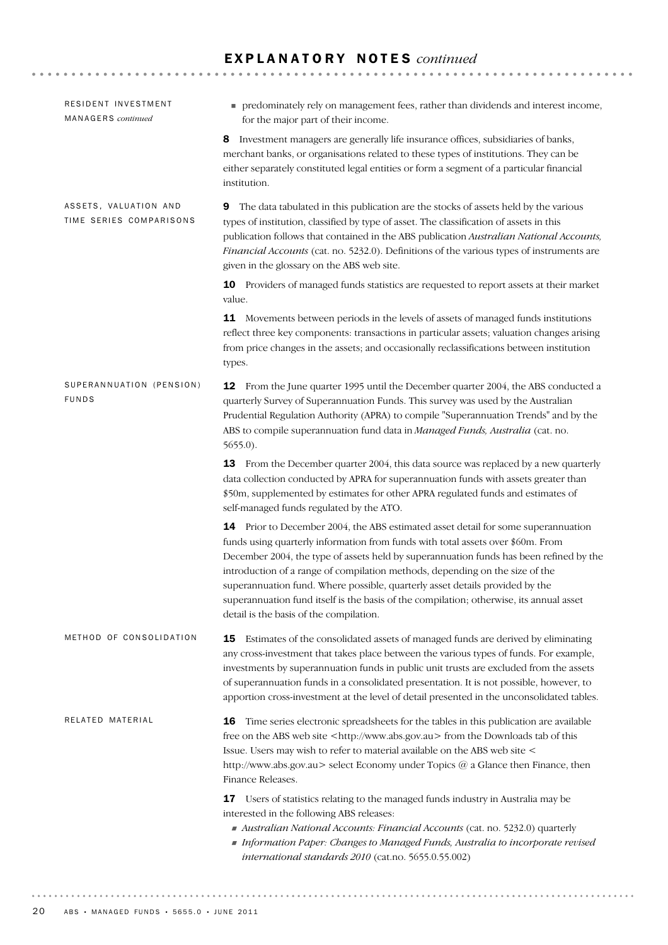# E X P L A N A T O R Y N O T E S *continued*

| RESIDENT INVESTMENT<br>MANAGERS continued        | • predominately rely on management fees, rather than dividends and interest income,<br>for the major part of their income.                                                                                                                                                                                                                                                                                                                                                                                                                                           |
|--------------------------------------------------|----------------------------------------------------------------------------------------------------------------------------------------------------------------------------------------------------------------------------------------------------------------------------------------------------------------------------------------------------------------------------------------------------------------------------------------------------------------------------------------------------------------------------------------------------------------------|
|                                                  | Investment managers are generally life insurance offices, subsidiaries of banks,<br>8<br>merchant banks, or organisations related to these types of institutions. They can be<br>either separately constituted legal entities or form a segment of a particular financial<br>institution.                                                                                                                                                                                                                                                                            |
| ASSETS, VALUATION AND<br>TIME SERIES COMPARISONS | The data tabulated in this publication are the stocks of assets held by the various<br>9<br>types of institution, classified by type of asset. The classification of assets in this<br>publication follows that contained in the ABS publication Australian National Accounts,<br>Financial Accounts (cat. no. 5232.0). Definitions of the various types of instruments are<br>given in the glossary on the ABS web site.                                                                                                                                            |
|                                                  | 10 Providers of managed funds statistics are requested to report assets at their market<br>value.                                                                                                                                                                                                                                                                                                                                                                                                                                                                    |
|                                                  | 11 Movements between periods in the levels of assets of managed funds institutions<br>reflect three key components: transactions in particular assets; valuation changes arising<br>from price changes in the assets; and occasionally reclassifications between institution<br>types.                                                                                                                                                                                                                                                                               |
| SUPERANNUATION (PENSION)<br><b>FUNDS</b>         | From the June quarter 1995 until the December quarter 2004, the ABS conducted a<br>12<br>quarterly Survey of Superannuation Funds. This survey was used by the Australian<br>Prudential Regulation Authority (APRA) to compile "Superannuation Trends" and by the<br>ABS to compile superannuation fund data in Managed Funds, Australia (cat. no.<br>$5655.0$ ).                                                                                                                                                                                                    |
|                                                  | <b>13</b> From the December quarter 2004, this data source was replaced by a new quarterly<br>data collection conducted by APRA for superannuation funds with assets greater than<br>\$50m, supplemented by estimates for other APRA regulated funds and estimates of<br>self-managed funds regulated by the ATO.                                                                                                                                                                                                                                                    |
|                                                  | 14 Prior to December 2004, the ABS estimated asset detail for some superannuation<br>funds using quarterly information from funds with total assets over \$60m. From<br>December 2004, the type of assets held by superannuation funds has been refined by the<br>introduction of a range of compilation methods, depending on the size of the<br>superannuation fund. Where possible, quarterly asset details provided by the<br>superannuation fund itself is the basis of the compilation; otherwise, its annual asset<br>detail is the basis of the compilation. |
| METHOD OF CONSOLIDATION                          | Estimates of the consolidated assets of managed funds are derived by eliminating<br>15<br>any cross-investment that takes place between the various types of funds. For example,<br>investments by superannuation funds in public unit trusts are excluded from the assets<br>of superannuation funds in a consolidated presentation. It is not possible, however, to<br>apportion cross-investment at the level of detail presented in the unconsolidated tables.                                                                                                   |
| RELATED MATERIAL                                 | Time series electronic spreadsheets for the tables in this publication are available<br>16<br>free on the ABS web site <http: www.abs.gov.au=""> from the Downloads tab of this<br/>Issue. Users may wish to refer to material available on the ABS web site &lt;<br/>http://www.abs.gov.au&gt; select Economy under Topics @ a Glance then Finance, then<br/>Finance Releases.</http:>                                                                                                                                                                              |
|                                                  | 17<br>Users of statistics relating to the managed funds industry in Australia may be<br>interested in the following ABS releases:<br>Australian National Accounts: Financial Accounts (cat. no. 5232.0) quarterly<br>Information Paper: Changes to Managed Funds, Australia to incorporate revised<br>international standards 2010 (cat.no. 5655.0.55.002)                                                                                                                                                                                                           |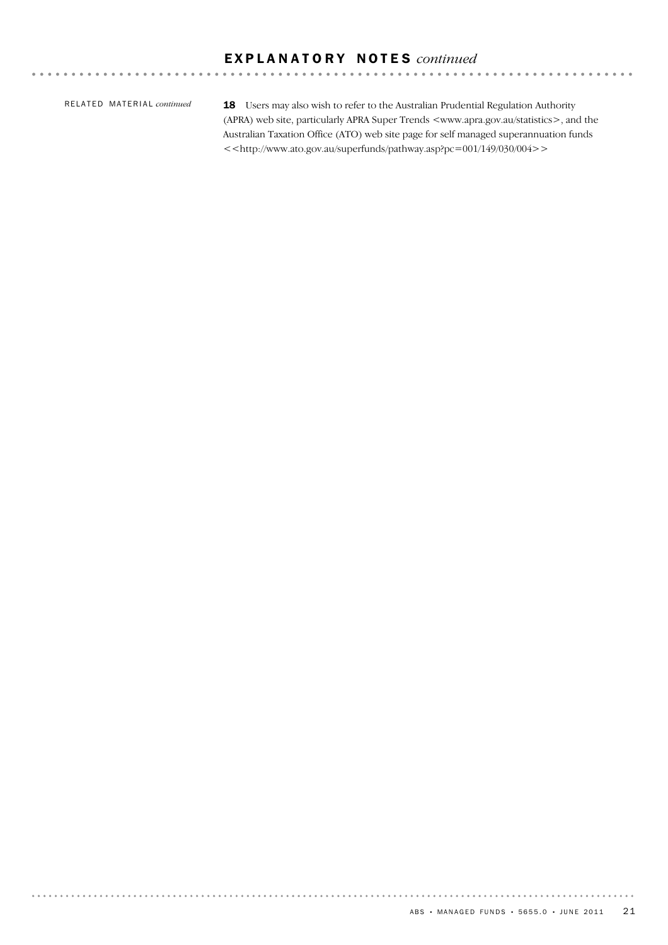# E X P L A N A T O R Y N O T E S *continued*

RE L A T E D MA T E R I A L *continued*

**\*\*\*\*\*\*\*\*\*\*\*\*** 

18 Users may also wish to refer to the Australian Prudential Regulation Authority (APRA) web site, particularly APRA Super Trends <www.apra.gov.au/statistics>, and the Australian Taxation Office (ATO) web site page for self managed superannuation funds  $<<$ http://www.ato.gov.au/superfunds/pathway.asp?pc=001/149/030/004>>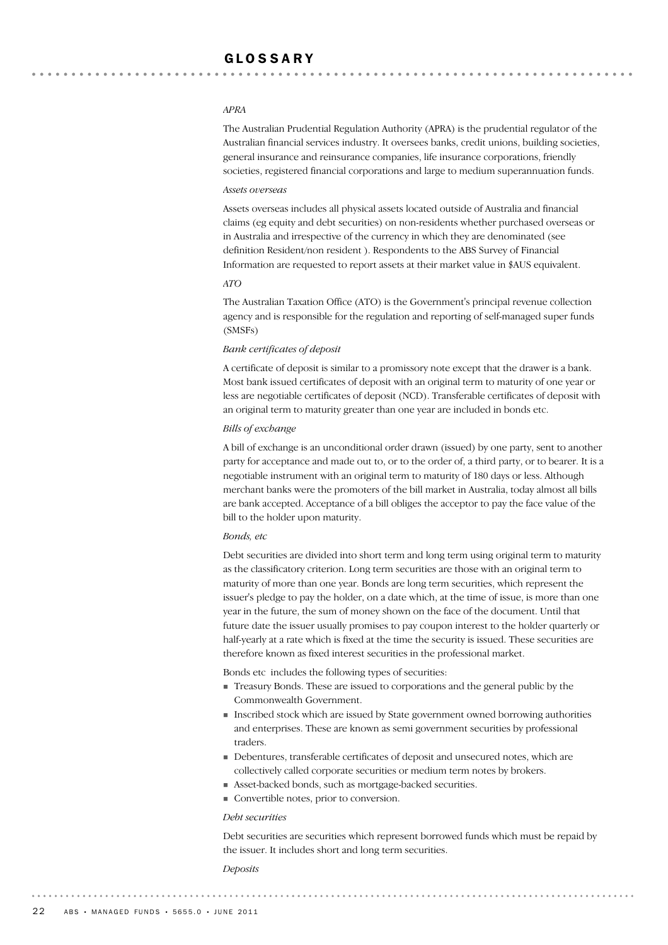# GLOSSARY

#### *APRA*

The Australian Prudential Regulation Authority (APRA) is the prudential regulator of the Australian financial services industry. It oversees banks, credit unions, building societies, general insurance and reinsurance companies, life insurance corporations, friendly societies, registered financial corporations and large to medium superannuation funds.

#### *Assets overseas*

Assets overseas includes all physical assets located outside of Australia and financial claims (eg equity and debt securities) on non-residents whether purchased overseas or in Australia and irrespective of the currency in which they are denominated (see definition Resident/non resident ). Respondents to the ABS Survey of Financial Information are requested to report assets at their market value in \$AUS equivalent.

#### *ATO*

The Australian Taxation Office (ATO) is the Government's principal revenue collection agency and is responsible for the regulation and reporting of self-managed super funds (SMSFs)

#### *Bank certificates of deposit*

A certificate of deposit is similar to a promissory note except that the drawer is a bank. Most bank issued certificates of deposit with an original term to maturity of one year or less are negotiable certificates of deposit (NCD). Transferable certificates of deposit with an original term to maturity greater than one year are included in bonds etc.

#### *Bills of exchange*

A bill of exchange is an unconditional order drawn (issued) by one party, sent to another party for acceptance and made out to, or to the order of, a third party, or to bearer. It is a negotiable instrument with an original term to maturity of 180 days or less. Although merchant banks were the promoters of the bill market in Australia, today almost all bills are bank accepted. Acceptance of a bill obliges the acceptor to pay the face value of the bill to the holder upon maturity.

#### *Bonds, etc*

Debt securities are divided into short term and long term using original term to maturity as the classificatory criterion. Long term securities are those with an original term to maturity of more than one year. Bonds are long term securities, which represent the issuer's pledge to pay the holder, on a date which, at the time of issue, is more than one year in the future, the sum of money shown on the face of the document. Until that future date the issuer usually promises to pay coupon interest to the holder quarterly or half-yearly at a rate which is fixed at the time the security is issued. These securities are therefore known as fixed interest securities in the professional market.

Bonds etc includes the following types of securities:

- ! Treasury Bonds. These are issued to corporations and the general public by the Commonwealth Government.
- ! Inscribed stock which are issued by State government owned borrowing authorities and enterprises. These are known as semi government securities by professional traders.
- ! Debentures, transferable certificates of deposit and unsecured notes, which are collectively called corporate securities or medium term notes by brokers.
- ! Asset-backed bonds, such as mortgage-backed securities.
- ! Convertible notes, prior to conversion.

#### *Debt securities*

Debt securities are securities which represent borrowed funds which must be repaid by the issuer. It includes short and long term securities.

*Deposits*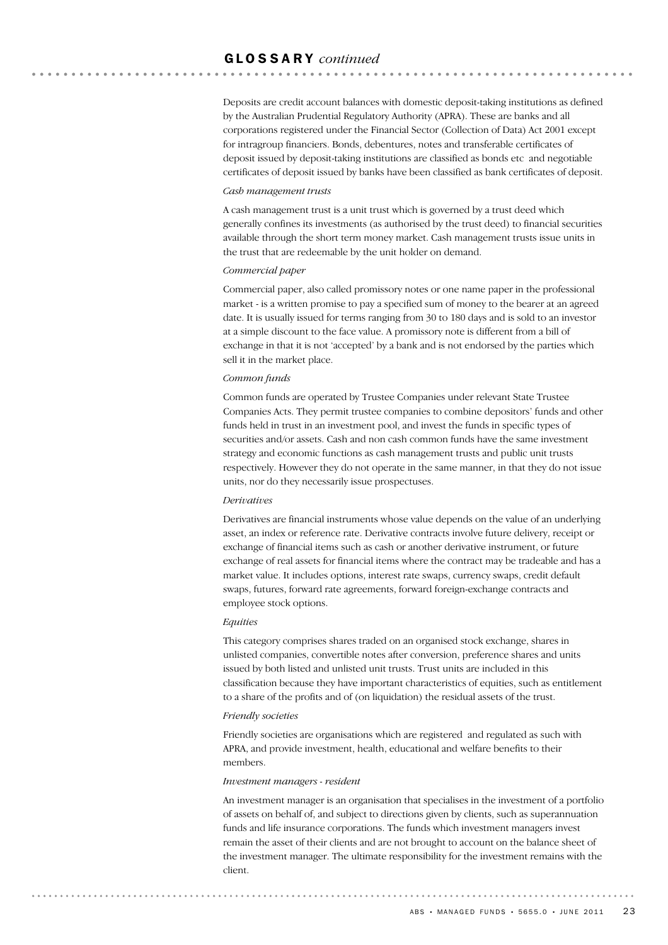Deposits are credit account balances with domestic deposit-taking institutions as defined by the Australian Prudential Regulatory Authority (APRA). These are banks and all corporations registered under the Financial Sector (Collection of Data) Act 2001 except for intragroup financiers. Bonds, debentures, notes and transferable certificates of deposit issued by deposit-taking institutions are classified as bonds etc and negotiable certificates of deposit issued by banks have been classified as bank certificates of deposit.

#### *Cash management trusts*

A cash management trust is a unit trust which is governed by a trust deed which generally confines its investments (as authorised by the trust deed) to financial securities available through the short term money market. Cash management trusts issue units in the trust that are redeemable by the unit holder on demand.

#### *Commercial paper*

Commercial paper, also called promissory notes or one name paper in the professional market - is a written promise to pay a specified sum of money to the bearer at an agreed date. It is usually issued for terms ranging from 30 to 180 days and is sold to an investor at a simple discount to the face value. A promissory note is different from a bill of exchange in that it is not 'accepted' by a bank and is not endorsed by the parties which sell it in the market place.

#### *Common funds*

Common funds are operated by Trustee Companies under relevant State Trustee Companies Acts. They permit trustee companies to combine depositors' funds and other funds held in trust in an investment pool, and invest the funds in specific types of securities and/or assets. Cash and non cash common funds have the same investment strategy and economic functions as cash management trusts and public unit trusts respectively. However they do not operate in the same manner, in that they do not issue units, nor do they necessarily issue prospectuses.

#### *Derivatives*

Derivatives are financial instruments whose value depends on the value of an underlying asset, an index or reference rate. Derivative contracts involve future delivery, receipt or exchange of financial items such as cash or another derivative instrument, or future exchange of real assets for financial items where the contract may be tradeable and has a market value. It includes options, interest rate swaps, currency swaps, credit default swaps, futures, forward rate agreements, forward foreign-exchange contracts and employee stock options.

#### *Equities*

This category comprises shares traded on an organised stock exchange, shares in unlisted companies, convertible notes after conversion, preference shares and units issued by both listed and unlisted unit trusts. Trust units are included in this classification because they have important characteristics of equities, such as entitlement to a share of the profits and of (on liquidation) the residual assets of the trust.

#### *Friendly societies*

Friendly societies are organisations which are registered and regulated as such with APRA, and provide investment, health, educational and welfare benefits to their members.

#### *Investment managers - resident*

An investment manager is an organisation that specialises in the investment of a portfolio of assets on behalf of, and subject to directions given by clients, such as superannuation funds and life insurance corporations. The funds which investment managers invest remain the asset of their clients and are not brought to account on the balance sheet of the investment manager. The ultimate responsibility for the investment remains with the client.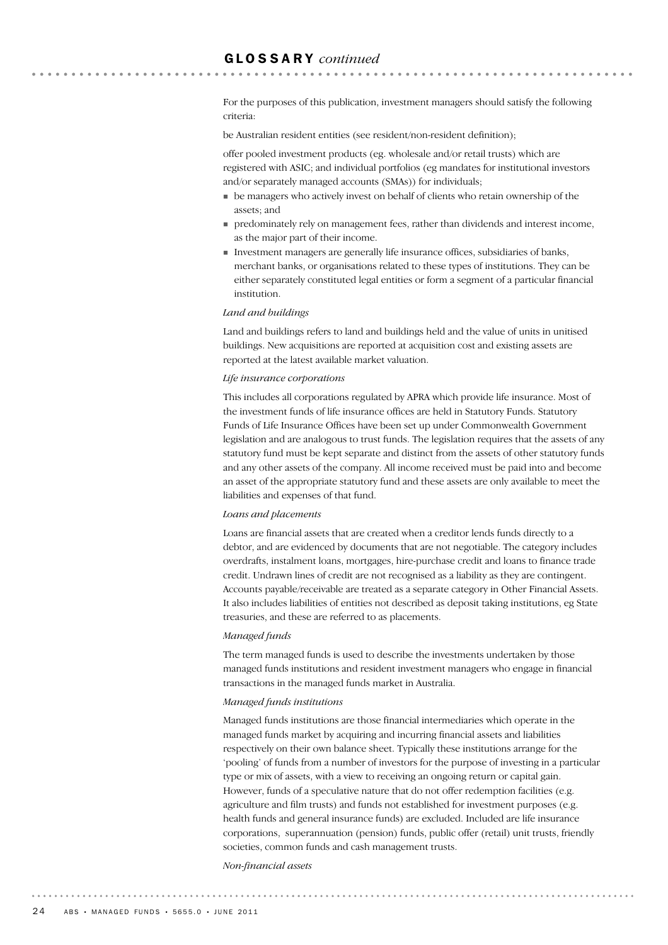For the purposes of this publication, investment managers should satisfy the following criteria:

be Australian resident entities (see resident/non-resident definition);

offer pooled investment products (eg. wholesale and/or retail trusts) which are registered with ASIC; and individual portfolios (eg mandates for institutional investors and/or separately managed accounts (SMAs)) for individuals;

- ! be managers who actively invest on behalf of clients who retain ownership of the assets; and
- ! predominately rely on management fees, rather than dividends and interest income, as the major part of their income.
- ! Investment managers are generally life insurance offices, subsidiaries of banks, merchant banks, or organisations related to these types of institutions. They can be either separately constituted legal entities or form a segment of a particular financial institution.

#### *Land and buildings*

Land and buildings refers to land and buildings held and the value of units in unitised buildings. New acquisitions are reported at acquisition cost and existing assets are reported at the latest available market valuation.

#### *Life insurance corporations*

This includes all corporations regulated by APRA which provide life insurance. Most of the investment funds of life insurance offices are held in Statutory Funds. Statutory Funds of Life Insurance Offices have been set up under Commonwealth Government legislation and are analogous to trust funds. The legislation requires that the assets of any statutory fund must be kept separate and distinct from the assets of other statutory funds and any other assets of the company. All income received must be paid into and become an asset of the appropriate statutory fund and these assets are only available to meet the liabilities and expenses of that fund.

#### *Loans and placements*

Loans are financial assets that are created when a creditor lends funds directly to a debtor, and are evidenced by documents that are not negotiable. The category includes overdrafts, instalment loans, mortgages, hire-purchase credit and loans to finance trade credit. Undrawn lines of credit are not recognised as a liability as they are contingent. Accounts payable/receivable are treated as a separate category in Other Financial Assets. It also includes liabilities of entities not described as deposit taking institutions, eg State treasuries, and these are referred to as placements.

#### *Managed funds*

The term managed funds is used to describe the investments undertaken by those managed funds institutions and resident investment managers who engage in financial transactions in the managed funds market in Australia.

#### *Managed funds institutions*

Managed funds institutions are those financial intermediaries which operate in the managed funds market by acquiring and incurring financial assets and liabilities respectively on their own balance sheet. Typically these institutions arrange for the 'pooling' of funds from a number of investors for the purpose of investing in a particular type or mix of assets, with a view to receiving an ongoing return or capital gain. However, funds of a speculative nature that do not offer redemption facilities (e.g. agriculture and film trusts) and funds not established for investment purposes (e.g. health funds and general insurance funds) are excluded. Included are life insurance corporations, superannuation (pension) funds, public offer (retail) unit trusts, friendly societies, common funds and cash management trusts.

*Non-financial assets*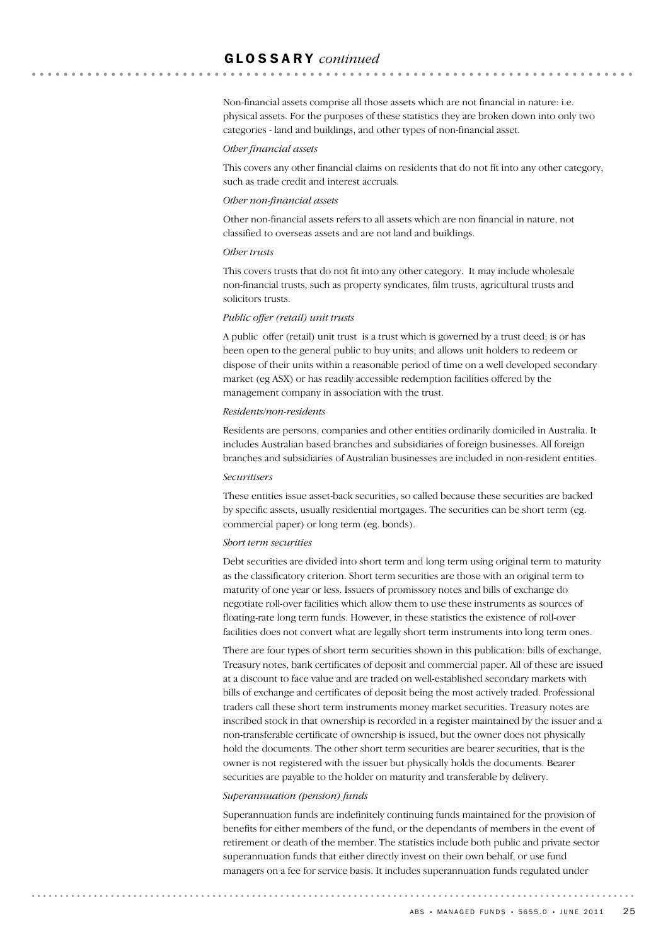Non-financial assets comprise all those assets which are not financial in nature: i.e. physical assets. For the purposes of these statistics they are broken down into only two categories - land and buildings, and other types of non-financial asset.

#### *Other financial assets*

This covers any other financial claims on residents that do not fit into any other category, such as trade credit and interest accruals.

#### *Other non-financial assets*

Other non-financial assets refers to all assets which are non financial in nature, not classified to overseas assets and are not land and buildings.

#### *Other trusts*

This covers trusts that do not fit into any other category. It may include wholesale non-financial trusts, such as property syndicates, film trusts, agricultural trusts and solicitors trusts.

#### *Public offer (retail) unit trusts*

A public offer (retail) unit trust is a trust which is governed by a trust deed; is or has been open to the general public to buy units; and allows unit holders to redeem or dispose of their units within a reasonable period of time on a well developed secondary market (eg ASX) or has readily accessible redemption facilities offered by the management company in association with the trust.

#### *Residents/non-residents*

Residents are persons, companies and other entities ordinarily domiciled in Australia. It includes Australian based branches and subsidiaries of foreign businesses. All foreign branches and subsidiaries of Australian businesses are included in non-resident entities.

#### *Securitisers*

These entities issue asset-back securities, so called because these securities are backed by specific assets, usually residential mortgages. The securities can be short term (eg. commercial paper) or long term (eg. bonds).

#### *Short term securities*

Debt securities are divided into short term and long term using original term to maturity as the classificatory criterion. Short term securities are those with an original term to maturity of one year or less. Issuers of promissory notes and bills of exchange do negotiate roll-over facilities which allow them to use these instruments as sources of floating-rate long term funds. However, in these statistics the existence of roll-over facilities does not convert what are legally short term instruments into long term ones.

There are four types of short term securities shown in this publication: bills of exchange, Treasury notes, bank certificates of deposit and commercial paper. All of these are issued at a discount to face value and are traded on well-established secondary markets with bills of exchange and certificates of deposit being the most actively traded. Professional traders call these short term instruments money market securities. Treasury notes are inscribed stock in that ownership is recorded in a register maintained by the issuer and a non-transferable certificate of ownership is issued, but the owner does not physically hold the documents. The other short term securities are bearer securities, that is the owner is not registered with the issuer but physically holds the documents. Bearer securities are payable to the holder on maturity and transferable by delivery.

#### *Superannuation (pension) funds*

Superannuation funds are indefinitely continuing funds maintained for the provision of benefits for either members of the fund, or the dependants of members in the event of retirement or death of the member. The statistics include both public and private sector superannuation funds that either directly invest on their own behalf, or use fund managers on a fee for service basis. It includes superannuation funds regulated under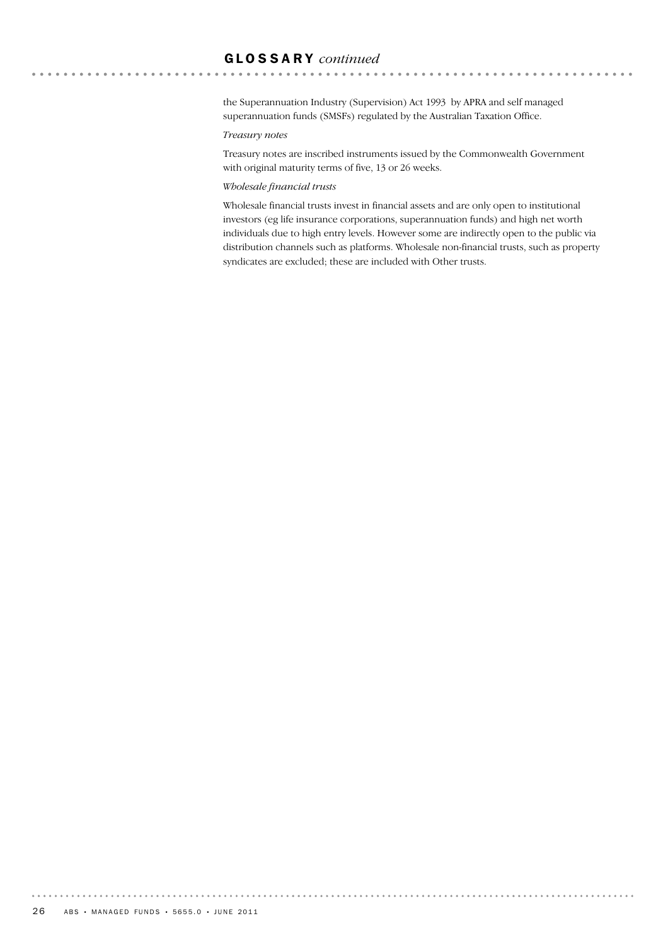. . . . . . . . . . . . . . . . . . .

the Superannuation Industry (Supervision) Act 1993 by APRA and self managed superannuation funds (SMSFs) regulated by the Australian Taxation Office.

#### *Treasury notes*

Treasury notes are inscribed instruments issued by the Commonwealth Government with original maturity terms of five, 13 or 26 weeks.

#### *Wholesale financial trusts*

Wholesale financial trusts invest in financial assets and are only open to institutional investors (eg life insurance corporations, superannuation funds) and high net worth individuals due to high entry levels. However some are indirectly open to the public via distribution channels such as platforms. Wholesale non-financial trusts, such as property syndicates are excluded; these are included with Other trusts.